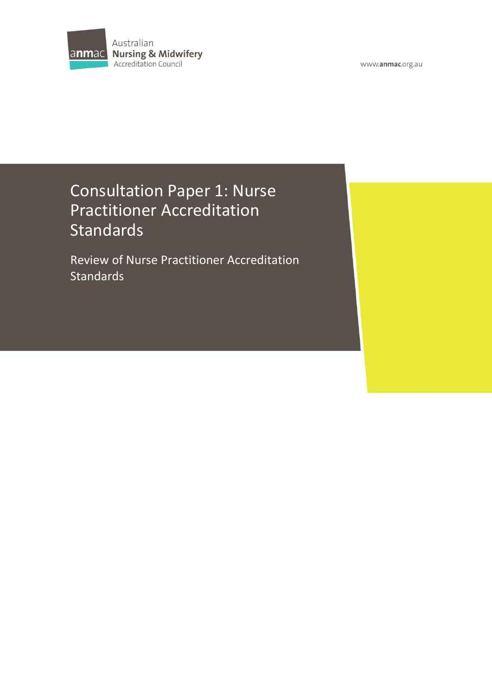

www.anmac.org.au

# Consultation Paper 1: Nurse Practitioner Accreditation Standards

Review of Nurse Practitioner Accreditation **Standards**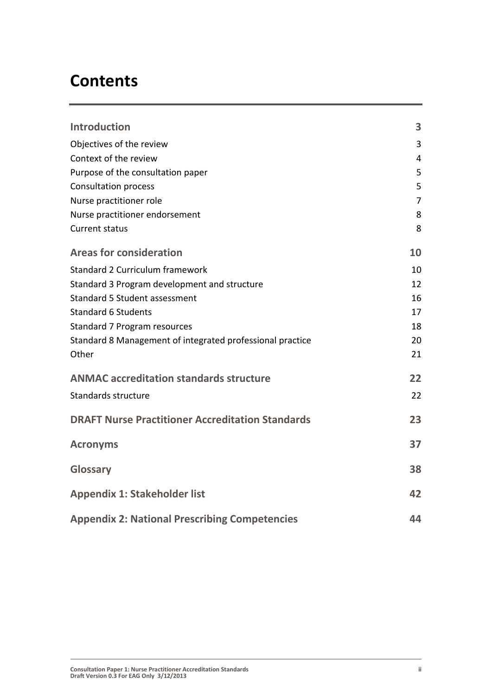# **Contents**

| <b>Introduction</b>                                       | 3              |
|-----------------------------------------------------------|----------------|
| Objectives of the review                                  | 3              |
| Context of the review                                     | 4              |
| Purpose of the consultation paper                         | 5              |
| <b>Consultation process</b>                               | 5              |
| Nurse practitioner role                                   | $\overline{7}$ |
| Nurse practitioner endorsement                            | 8              |
| <b>Current status</b>                                     | 8              |
| <b>Areas for consideration</b>                            | 10             |
| <b>Standard 2 Curriculum framework</b>                    | 10             |
| Standard 3 Program development and structure              | 12             |
| Standard 5 Student assessment                             | 16             |
| <b>Standard 6 Students</b>                                | 17             |
| Standard 7 Program resources                              | 18             |
| Standard 8 Management of integrated professional practice | 20             |
| Other                                                     | 21             |
| <b>ANMAC accreditation standards structure</b>            | 22             |
| Standards structure                                       | 22             |
| <b>DRAFT Nurse Practitioner Accreditation Standards</b>   | 23             |
| <b>Acronyms</b>                                           | 37             |
| Glossary                                                  | 38             |
| <b>Appendix 1: Stakeholder list</b>                       | 42             |
| <b>Appendix 2: National Prescribing Competencies</b>      | 44             |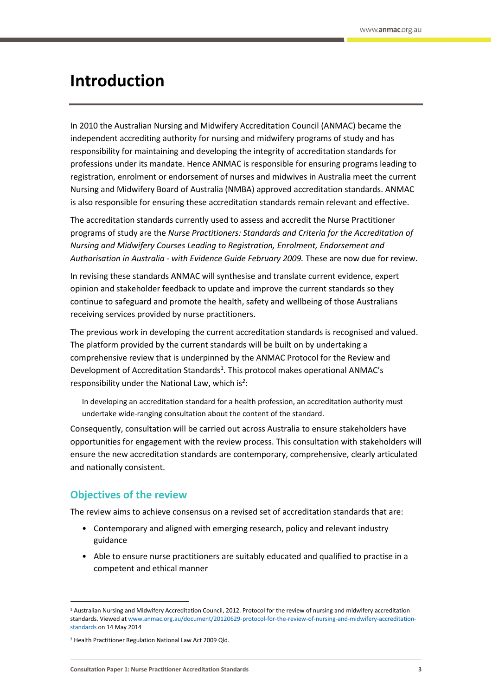# <span id="page-2-0"></span>**Introduction**

In 2010 the Australian Nursing and Midwifery Accreditation Council (ANMAC) became the independent accrediting authority for nursing and midwifery programs of study and has responsibility for maintaining and developing the integrity of accreditation standards for professions under its mandate. Hence ANMAC is responsible for ensuring programs leading to registration, enrolment or endorsement of nurses and midwives in Australia meet the current Nursing and Midwifery Board of Australia (NMBA) approved accreditation standards. ANMAC is also responsible for ensuring these accreditation standards remain relevant and effective.

The accreditation standards currently used to assess and accredit the Nurse Practitioner programs of study are the *Nurse Practitioners: Standards and Criteria for the Accreditation of Nursing and Midwifery Courses Leading to Registration, Enrolment, Endorsement and Authorisation in Australia - with Evidence Guide February 2009.* These are now due for review.

In revising these standards ANMAC will synthesise and translate current evidence, expert opinion and stakeholder feedback to update and improve the current standards so they continue to safeguard and promote the health, safety and wellbeing of those Australians receiving services provided by nurse practitioners.

The previous work in developing the current accreditation standards is recognised and valued. The platform provided by the current standards will be built on by undertaking a comprehensive review that is underpinned by the ANMAC Protocol for the Review and Development of Accreditation Standards<sup>1</sup>. This protocol makes operational ANMAC's responsibility under the National Law, which is*<sup>2</sup>* :

In developing an accreditation standard for a health profession, an accreditation authority must undertake wide-ranging consultation about the content of the standard*.*

Consequently, consultation will be carried out across Australia to ensure stakeholders have opportunities for engagement with the review process. This consultation with stakeholders will ensure the new accreditation standards are contemporary, comprehensive, clearly articulated and nationally consistent.

# <span id="page-2-1"></span>**Objectives of the review**

 $\overline{a}$ 

The review aims to achieve consensus on a revised set of accreditation standards that are:

- Contemporary and aligned with emerging research, policy and relevant industry guidance
- Able to ensure nurse practitioners are suitably educated and qualified to practise in a competent and ethical manner

<sup>1</sup> Australian Nursing and Midwifery Accreditation Council, 2012. Protocol for the review of nursing and midwifery accreditation standards. Viewed a[t www.anmac.org.au/document/20120629-protocol-for-the-review-of-nursing-and-midwifery-accreditation](http://www.anmac.org.au/document/20120629-protocol-for-the-review-of-nursing-and-midwifery-accreditation-standards)[standards](http://www.anmac.org.au/document/20120629-protocol-for-the-review-of-nursing-and-midwifery-accreditation-standards) on 14 May 2014

<sup>2</sup> Health Practitioner Regulation National Law Act 2009 Qld.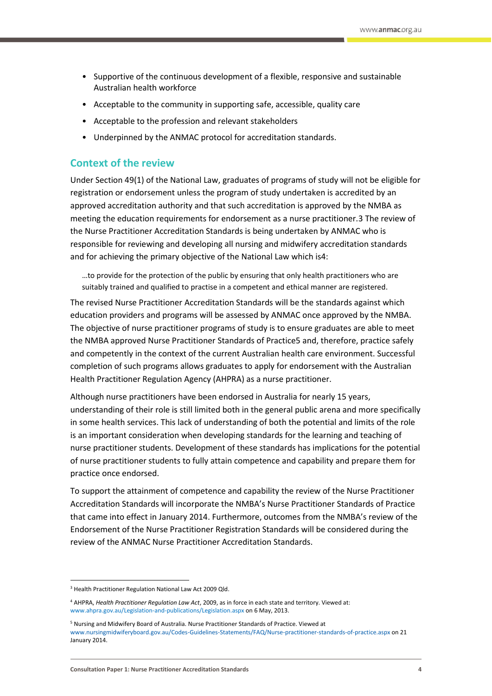- Supportive of the continuous development of a flexible, responsive and sustainable Australian health workforce
- Acceptable to the community in supporting safe, accessible, quality care
- Acceptable to the profession and relevant stakeholders
- Underpinned by the ANMAC protocol for accreditation standards.

# <span id="page-3-0"></span>**Context of the review**

Under Section 49(1) of the National Law, graduates of programs of study will not be eligible for registration or endorsement unless the program of study undertaken is accredited by an approved accreditation authority and that such accreditation is approved by the NMBA as meeting the education requirements for endorsement as a nurse practitioner.3 The review of the Nurse Practitioner Accreditation Standards is being undertaken by ANMAC who is responsible for reviewing and developing all nursing and midwifery accreditation standards and for achieving the primary objective of the National Law which is4:

…to provide for the protection of the public by ensuring that only health practitioners who are suitably trained and qualified to practise in a competent and ethical manner are registered.

The revised Nurse Practitioner Accreditation Standards will be the standards against which education providers and programs will be assessed by ANMAC once approved by the NMBA. The objective of nurse practitioner programs of study is to ensure graduates are able to meet the NMBA approved Nurse Practitioner Standards of Practice5 and, therefore, practice safely and competently in the context of the current Australian health care environment. Successful completion of such programs allows graduates to apply for endorsement with the Australian Health Practitioner Regulation Agency (AHPRA) as a nurse practitioner.

Although nurse practitioners have been endorsed in Australia for nearly 15 years, understanding of their role is still limited both in the general public arena and more specifically in some health services. This lack of understanding of both the potential and limits of the role is an important consideration when developing standards for the learning and teaching of nurse practitioner students. Development of these standards has implications for the potential of nurse practitioner students to fully attain competence and capability and prepare them for practice once endorsed.

To support the attainment of competence and capability the review of the Nurse Practitioner Accreditation Standards will incorporate the NMBA's Nurse Practitioner Standards of Practice that came into effect in January 2014. Furthermore, outcomes from the NMBA's review of the Endorsement of the Nurse Practitioner Registration Standards will be considered during the review of the ANMAC Nurse Practitioner Accreditation Standards.

**.** 

<sup>&</sup>lt;sup>3</sup> Health Practitioner Regulation National Law Act 2009 Qld.

<sup>4</sup> AHPRA, *Health Practitioner Regulation Law Act*, 2009, as in force in each state and territory. Viewed at: www.ahpra.gov.au/Legislation-and-publications/Legislation.aspx on 6 May, 2013.

<sup>5</sup> Nursing and Midwifery Board of Australia. Nurse Practitioner Standards of Practice. Viewed at [www.nursingmidwiferyboard.gov.au/Codes-Guidelines-Statements/FAQ/Nurse-practitioner-standards-of-practice.aspx](http://www.nursingmidwiferyboard.gov.au/Codes-Guidelines-Statements/FAQ/Nurse-practitioner-standards-of-practice.aspx) on 21 January 2014.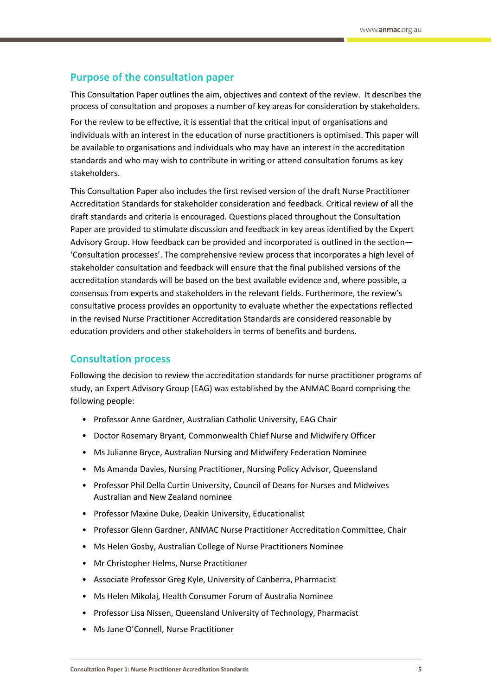# <span id="page-4-0"></span>**Purpose of the consultation paper**

This Consultation Paper outlines the aim, objectives and context of the review. It describes the process of consultation and proposes a number of key areas for consideration by stakeholders.

For the review to be effective, it is essential that the critical input of organisations and individuals with an interest in the education of nurse practitioners is optimised. This paper will be available to organisations and individuals who may have an interest in the accreditation standards and who may wish to contribute in writing or attend consultation forums as key stakeholders.

This Consultation Paper also includes the first revised version of the draft Nurse Practitioner Accreditation Standards for stakeholder consideration and feedback. Critical review of all the draft standards and criteria is encouraged. Questions placed throughout the Consultation Paper are provided to stimulate discussion and feedback in key areas identified by the Expert Advisory Group. How feedback can be provided and incorporated is outlined in the section— 'Consultation processes'. The comprehensive review process that incorporates a high level of stakeholder consultation and feedback will ensure that the final published versions of the accreditation standards will be based on the best available evidence and, where possible, a consensus from experts and stakeholders in the relevant fields. Furthermore, the review's consultative process provides an opportunity to evaluate whether the expectations reflected in the revised Nurse Practitioner Accreditation Standards are considered reasonable by education providers and other stakeholders in terms of benefits and burdens.

## <span id="page-4-1"></span>**Consultation process**

Following the decision to review the accreditation standards for nurse practitioner programs of study, an Expert Advisory Group (EAG) was established by the ANMAC Board comprising the following people:

- Professor Anne Gardner, Australian Catholic University, EAG Chair
- Doctor Rosemary Bryant, Commonwealth Chief Nurse and Midwifery Officer
- Ms Julianne Bryce, Australian Nursing and Midwifery Federation Nominee
- Ms Amanda Davies, Nursing Practitioner, Nursing Policy Advisor, Queensland
- Professor Phil Della Curtin University, Council of Deans for Nurses and Midwives Australian and New Zealand nominee
- Professor Maxine Duke, Deakin University, Educationalist
- Professor Glenn Gardner, ANMAC Nurse Practitioner Accreditation Committee, Chair
- Ms Helen Gosby, Australian College of Nurse Practitioners Nominee
- Mr Christopher Helms, Nurse Practitioner
- Associate Professor Greg Kyle, University of Canberra, Pharmacist
- Ms Helen Mikolaj, Health Consumer Forum of Australia Nominee
- Professor Lisa Nissen, Queensland University of Technology, Pharmacist
- Ms Jane O'Connell, Nurse Practitioner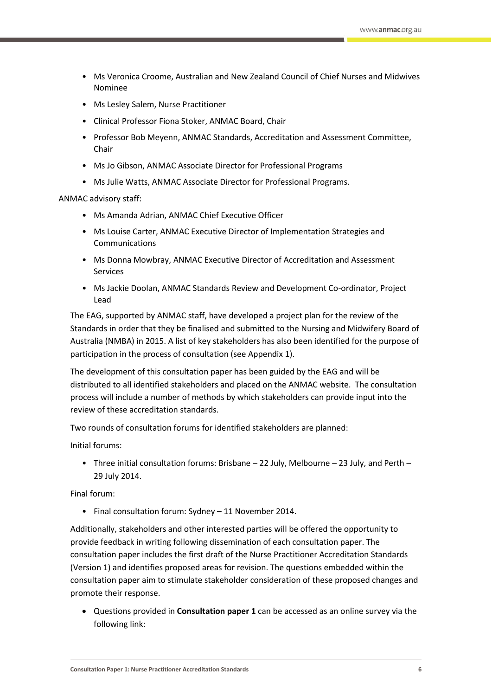- Ms Veronica Croome, Australian and New Zealand Council of Chief Nurses and Midwives Nominee
- Ms Lesley Salem, Nurse Practitioner
- Clinical Professor Fiona Stoker, ANMAC Board, Chair
- Professor Bob Meyenn, ANMAC Standards, Accreditation and Assessment Committee, Chair
- Ms Jo Gibson, ANMAC Associate Director for Professional Programs
- Ms Julie Watts, ANMAC Associate Director for Professional Programs.

ANMAC advisory staff:

- Ms Amanda Adrian, ANMAC Chief Executive Officer
- Ms Louise Carter, ANMAC Executive Director of Implementation Strategies and Communications
- Ms Donna Mowbray, ANMAC Executive Director of Accreditation and Assessment Services
- Ms Jackie Doolan, ANMAC Standards Review and Development Co-ordinator, Project Lead

The EAG, supported by ANMAC staff, have developed a project plan for the review of the Standards in order that they be finalised and submitted to the Nursing and Midwifery Board of Australia (NMBA) in 2015. A list of key stakeholders has also been identified for the purpose of participation in the process of consultation (see Appendix 1).

The development of this consultation paper has been guided by the EAG and will be distributed to all identified stakeholders and placed on the ANMAC website. The consultation process will include a number of methods by which stakeholders can provide input into the review of these accreditation standards.

Two rounds of consultation forums for identified stakeholders are planned:

Initial forums:

• Three initial consultation forums: Brisbane – 22 July, Melbourne – 23 July, and Perth – 29 July 2014.

Final forum:

• Final consultation forum: Sydney – 11 November 2014.

Additionally, stakeholders and other interested parties will be offered the opportunity to provide feedback in writing following dissemination of each consultation paper. The consultation paper includes the first draft of the Nurse Practitioner Accreditation Standards (Version 1) and identifies proposed areas for revision. The questions embedded within the consultation paper aim to stimulate stakeholder consideration of these proposed changes and promote their response.

 Questions provided in **Consultation paper 1** can be accessed as an online survey via the following link: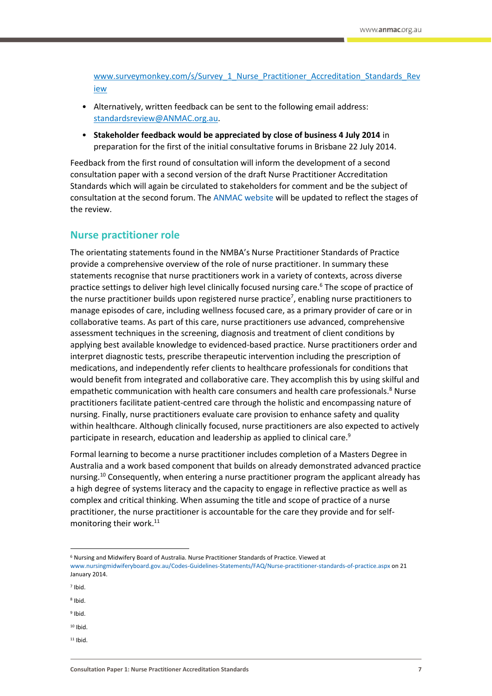[www.surveymonkey.com/s/Survey\\_1\\_Nurse\\_Practitioner\\_Accreditation\\_Standards\\_Rev](http://www.surveymonkey.com/s/Survey_1_Nurse_Practitioner_Accreditation_Standards_Review) [iew](http://www.surveymonkey.com/s/Survey_1_Nurse_Practitioner_Accreditation_Standards_Review)

- Alternatively, written feedback can be sent to the following email address: standardsreview@ANMAC.org.au.
- **Stakeholder feedback would be appreciated by close of business 4 July 2014** in preparation for the first of the initial consultative forums in Brisbane 22 July 2014.

Feedback from the first round of consultation will inform the development of a second consultation paper with a second version of the draft Nurse Practitioner Accreditation Standards which will again be circulated to stakeholders for comment and be the subject of consultation at the second forum. The [ANMAC website](http://anmac.org.au/) will be updated to reflect the stages of the review.

# <span id="page-6-0"></span>**Nurse practitioner role**

The orientating statements found in the NMBA's Nurse Practitioner Standards of Practice provide a comprehensive overview of the role of nurse practitioner. In summary these statements recognise that nurse practitioners work in a variety of contexts, across diverse practice settings to deliver high level clinically focused nursing care.<sup>6</sup> The scope of practice of the nurse practitioner builds upon registered nurse practice<sup>7</sup>, enabling nurse practitioners to manage episodes of care, including wellness focused care, as a primary provider of care or in collaborative teams. As part of this care, nurse practitioners use advanced, comprehensive assessment techniques in the screening, diagnosis and treatment of client conditions by applying best available knowledge to evidenced-based practice. Nurse practitioners order and interpret diagnostic tests, prescribe therapeutic intervention including the prescription of medications, and independently refer clients to healthcare professionals for conditions that would benefit from integrated and collaborative care. They accomplish this by using skilful and empathetic communication with health care consumers and health care professionals.<sup>8</sup> Nurse practitioners facilitate patient-centred care through the holistic and encompassing nature of nursing. Finally, nurse practitioners evaluate care provision to enhance safety and quality within healthcare. Although clinically focused, nurse practitioners are also expected to actively participate in research, education and leadership as applied to clinical care.<sup>9</sup>

Formal learning to become a nurse practitioner includes completion of a Masters Degree in Australia and a work based component that builds on already demonstrated advanced practice nursing.<sup>10</sup> Consequently, when entering a nurse practitioner program the applicant already has a high degree of systems literacy and the capacity to engage in reflective practice as well as complex and critical thinking. When assuming the title and scope of practice of a nurse practitioner, the nurse practitioner is accountable for the care they provide and for selfmonitoring their work.<sup>11</sup>

**.** 

- 8 Ibid.
- <sup>9</sup> Ibid.
- $10$  Ibid
- $11$  Ibid

<sup>6</sup> Nursing and Midwifery Board of Australia. Nurse Practitioner Standards of Practice. Viewed at [www.nursingmidwiferyboard.gov.au/Codes-Guidelines-Statements/FAQ/Nurse-practitioner-standards-of-practice.aspx](http://www.nursingmidwiferyboard.gov.au/Codes-Guidelines-Statements/FAQ/Nurse-practitioner-standards-of-practice.aspx) on 21 January 2014.

<sup>7</sup> Ibid.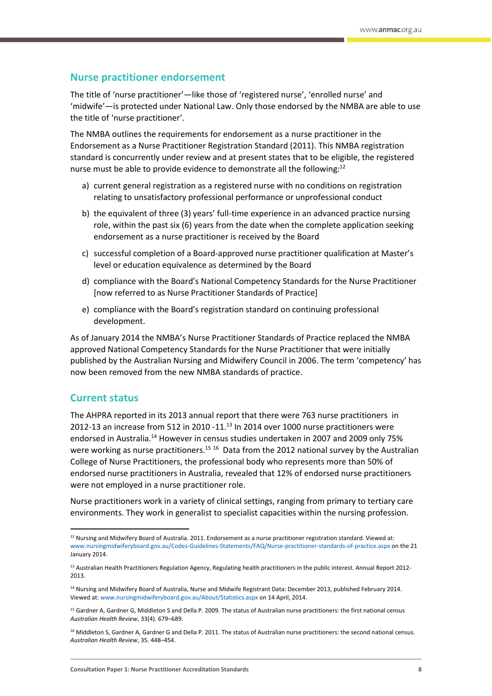# <span id="page-7-0"></span>**Nurse practitioner endorsement**

The title of 'nurse practitioner'—like those of 'registered nurse', 'enrolled nurse' and 'midwife'—is protected under National Law. Only those endorsed by the NMBA are able to use the title of 'nurse practitioner'.

The NMBA outlines the requirements for endorsement as a nurse practitioner in the Endorsement as a Nurse Practitioner Registration Standard (2011). This NMBA registration standard is concurrently under review and at present states that to be eligible, the registered nurse must be able to provide evidence to demonstrate all the following:<sup>12</sup>

- a) current general registration as a registered nurse with no conditions on registration relating to unsatisfactory professional performance or unprofessional conduct
- b) the equivalent of three (3) years' full-time experience in an advanced practice nursing role, within the past six (6) years from the date when the complete application seeking endorsement as a nurse practitioner is received by the Board
- c) successful completion of a Board-approved nurse practitioner qualification at Master's level or education equivalence as determined by the Board
- d) compliance with the Board's National Competency Standards for the Nurse Practitioner [now referred to as Nurse Practitioner Standards of Practice]
- e) compliance with the Board's registration standard on continuing professional development.

As of January 2014 the NMBA's Nurse Practitioner Standards of Practice replaced the NMBA approved National Competency Standards for the Nurse Practitioner that were initially published by the Australian Nursing and Midwifery Council in 2006. The term 'competency' has now been removed from the new NMBA standards of practice.

# <span id="page-7-1"></span>**Current status**

**.** 

The AHPRA reported in its 2013 annual report that there were 763 nurse practitioners in 2012-13 an increase from 512 in 2010 -11.<sup>13</sup> In 2014 over 1000 nurse practitioners were endorsed in Australia.<sup>14</sup> However in census studies undertaken in 2007 and 2009 only 75% were working as nurse practitioners.<sup>15 16</sup> Data from the 2012 national survey by the Australian College of Nurse Practitioners, the professional body who represents more than 50% of endorsed nurse practitioners in Australia, revealed that 12% of endorsed nurse practitioners were not employed in a nurse practitioner role.

Nurse practitioners work in a variety of clinical settings, ranging from primary to tertiary care environments. They work in generalist to specialist capacities within the nursing profession.

<sup>&</sup>lt;sup>12</sup> Nursing and Midwifery Board of Australia. 2011. Endorsement as a nurse practitioner registration standard. Viewed at: [www.nursingmidwiferyboard.gov.au/Codes-Guidelines-Statements/FAQ/Nurse-practitioner-standards-of-practice.aspx](http://www.nursingmidwiferyboard.gov.au/Codes-Guidelines-Statements/FAQ/Nurse-practitioner-standards-of-practice.aspx) on the 21 January 2014.

<sup>&</sup>lt;sup>13</sup> Australian Health Practitioners Regulation Agency, Regulating health practitioners in the public interest. Annual Report 2012-2013.

<sup>&</sup>lt;sup>14</sup> Nursing and Midwifery Board of Australia, Nurse and Midwife Registrant Data: December 2013, published February 2014. Viewed at[: www.nursingmidwiferyboard.gov.au/About/Statistics.aspx](http://www.nursingmidwiferyboard.gov.au/About/Statistics.aspx) on 14 April, 2014.

<sup>&</sup>lt;sup>15</sup> Gardner A, Gardner G, Middleton S and Della P. 2009. The status of Australian nurse practitioners: the first national census *Australian Health Review*, 33(4). 679–689.

<sup>&</sup>lt;sup>16</sup> Middleton S, Gardner A, Gardner G and Della P. 2011. The status of Australian nurse practitioners: the second national census. *Australian Health Review*, 35. 448–454.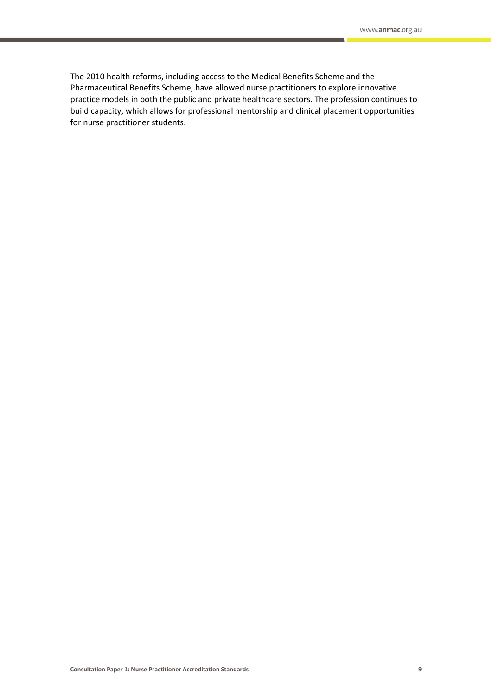The 2010 health reforms, including access to the Medical Benefits Scheme and the Pharmaceutical Benefits Scheme, have allowed nurse practitioners to explore innovative practice models in both the public and private healthcare sectors. The profession continues to build capacity, which allows for professional mentorship and clinical placement opportunities for nurse practitioner students.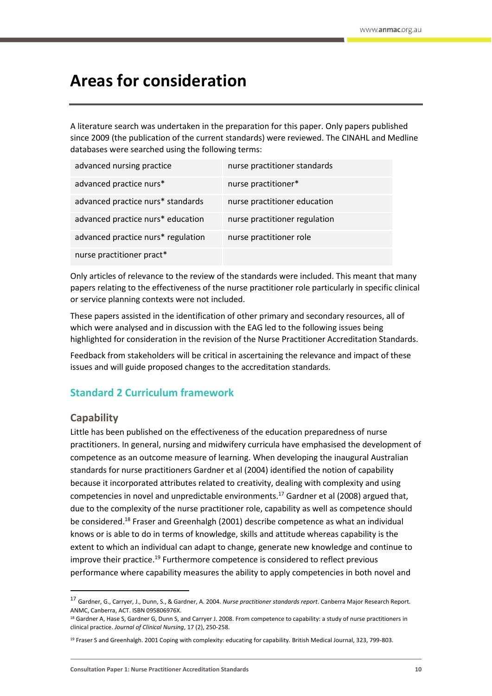# <span id="page-9-0"></span>**Areas for consideration**

A literature search was undertaken in the preparation for this paper. Only papers published since 2009 (the publication of the current standards) were reviewed. The CINAHL and Medline databases were searched using the following terms:

| advanced nursing practice          | nurse practitioner standards  |
|------------------------------------|-------------------------------|
| advanced practice nurs*            | nurse practitioner*           |
| advanced practice nurs* standards  | nurse practitioner education  |
| advanced practice nurs* education  | nurse practitioner regulation |
| advanced practice nurs* regulation | nurse practitioner role       |
| nurse practitioner pract*          |                               |

Only articles of relevance to the review of the standards were included. This meant that many papers relating to the effectiveness of the nurse practitioner role particularly in specific clinical or service planning contexts were not included.

These papers assisted in the identification of other primary and secondary resources, all of which were analysed and in discussion with the EAG led to the following issues being highlighted for consideration in the revision of the Nurse Practitioner Accreditation Standards.

Feedback from stakeholders will be critical in ascertaining the relevance and impact of these issues and will guide proposed changes to the accreditation standards.

# <span id="page-9-1"></span>**Standard 2 Curriculum framework**

# **Capability**

1

Little has been published on the effectiveness of the education preparedness of nurse practitioners. In general, nursing and midwifery curricula have emphasised the development of competence as an outcome measure of learning. When developing the inaugural Australian standards for nurse practitioners Gardner et al (2004) identified the notion of capability because it incorporated attributes related to creativity, dealing with complexity and using competencies in novel and unpredictable environments.<sup>17</sup> Gardner et al (2008) argued that, due to the complexity of the nurse practitioner role, capability as well as competence should be considered.<sup>18</sup> Fraser and Greenhalgh (2001) describe competence as what an individual knows or is able to do in terms of knowledge, skills and attitude whereas capability is the extent to which an individual can adapt to change, generate new knowledge and continue to improve their practice.<sup>19</sup> Furthermore competence is considered to reflect previous performance where capability measures the ability to apply competencies in both novel and

<sup>17</sup> Gardner, G., Carryer, J., Dunn, S., & Gardner, A. 2004. *Nurse practitioner standards report*. Canberra Major Research Report. ANMC, Canberra, ACT. ISBN 095806976X.

<sup>18</sup> Gardner A, Hase S, Gardner G, Dunn S, and Carryer J. 2008. From competence to capability: a study of nurse practitioners in clinical practice. *Journal of Clinical Nursing*, 17 (2), 250-258.

<sup>&</sup>lt;sup>19</sup> Fraser S and Greenhalgh. 2001 Coping with complexity: educating for capability. British Medical Journal, 323, 799-803.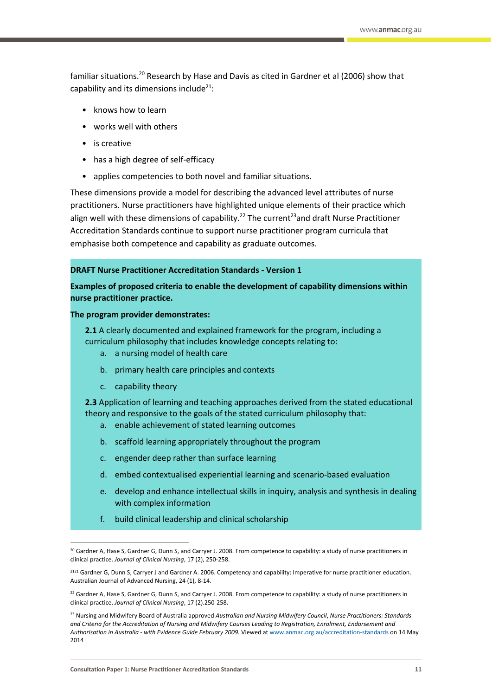familiar situations.<sup>20</sup> Research by Hase and Davis as cited in Gardner et al (2006) show that capability and its dimensions include<sup>21</sup>:

- knows how to learn
- works well with others
- is creative
- has a high degree of self-efficacy
- applies competencies to both novel and familiar situations.

These dimensions provide a model for describing the advanced level attributes of nurse practitioners. Nurse practitioners have highlighted unique elements of their practice which align well with these dimensions of capability.<sup>22</sup> The current<sup>23</sup> and draft Nurse Practitioner Accreditation Standards continue to support nurse practitioner program curricula that emphasise both competence and capability as graduate outcomes.

# **DRAFT Nurse Practitioner Accreditation Standards - Version 1**

**Examples of proposed criteria to enable the development of capability dimensions within nurse practitioner practice.**

## **The program provider demonstrates:**

**2.1** A clearly documented and explained framework for the program, including a curriculum philosophy that includes knowledge concepts relating to:

- a. a nursing model of health care
- b. primary health care principles and contexts
- c. capability theory

1

**2.3** Application of learning and teaching approaches derived from the stated educational theory and responsive to the goals of the stated curriculum philosophy that:

- a. enable achievement of stated learning outcomes
- b. scaffold learning appropriately throughout the program
- c. engender deep rather than surface learning
- d. embed contextualised experiential learning and scenario-based evaluation
- e. develop and enhance intellectual skills in inquiry, analysis and synthesis in dealing with complex information
- f. build clinical leadership and clinical scholarship

<sup>&</sup>lt;sup>20</sup> Gardner A, Hase S, Gardner G, Dunn S, and Carryer J. 2008. From competence to capability: a study of nurse practitioners in clinical practice. *Journal of Clinical Nursing*, 17 (2), 250-258.

<sup>2121</sup> Gardner G, Dunn S, Carryer J and Gardner A. 2006. Competency and capability: Imperative for nurse practitioner education. Australian Journal of Advanced Nursing, 24 (1), 8-14.

<sup>&</sup>lt;sup>22</sup> Gardner A, Hase S, Gardner G, Dunn S, and Carryer J. 2008. From competence to capability: a study of nurse practitioners in clinical practice. *Journal of Clinical Nursing*, 17 (2).250-258.

<sup>23</sup> Nursing and Midwifery Board of Australia approved *Australian and Nursing Midwifery Council*, *Nurse Practitioners: Standards and Criteria for the Accreditation of Nursing and Midwifery Courses Leading to Registration, Enrolment, Endorsement and Authorisation in Australia - with Evidence Guide February 2009.* Viewed a[t www.anmac.org.au/accreditation-standards](http://www.anmac.org.au/accreditation-standards) on 14 May 2014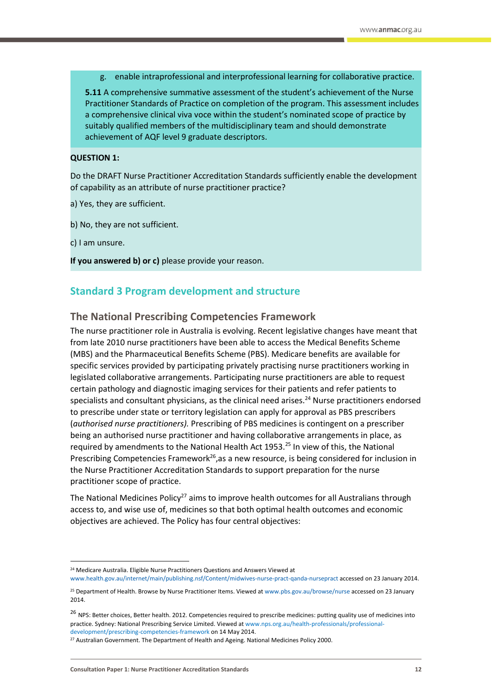g. enable intraprofessional and interprofessional learning for collaborative practice.

**5.11** A comprehensive summative assessment of the student's achievement of the Nurse Practitioner Standards of Practice on completion of the program. This assessment includes a comprehensive clinical viva voce within the student's nominated scope of practice by suitably qualified members of the multidisciplinary team and should demonstrate achievement of AQF level 9 graduate descriptors.

### **QUESTION 1:**

Do the DRAFT Nurse Practitioner Accreditation Standards sufficiently enable the development of capability as an attribute of nurse practitioner practice?

- a) Yes, they are sufficient.
- b) No, they are not sufficient.
- c) I am unsure.

**.** 

**If you answered b) or c)** please provide your reason.

# <span id="page-11-0"></span>**Standard 3 Program development and structure**

# **The National Prescribing Competencies Framework**

The nurse practitioner role in Australia is evolving. Recent legislative changes have meant that from late 2010 nurse practitioners have been able to access the Medical Benefits Scheme (MBS) and the Pharmaceutical Benefits Scheme (PBS). Medicare benefits are available for specific services provided by participating privately practising nurse practitioners working in legislated collaborative arrangements. Participating nurse practitioners are able to request certain pathology and diagnostic imaging services for their patients and refer patients to specialists and consultant physicians, as the clinical need arises.<sup>24</sup> Nurse practitioners endorsed to prescribe under state or territory legislation can apply for approval as PBS prescribers (*authorised nurse practitioners).* Prescribing of PBS medicines is contingent on a prescriber being an authorised nurse practitioner and having collaborative arrangements in place, as required by amendments to the National Health Act 1953.<sup>25</sup> In view of this, the National Prescribing Competencies Framework<sup>26</sup>, as a new resource, is being considered for inclusion in the Nurse Practitioner Accreditation Standards to support preparation for the nurse practitioner scope of practice.

The National Medicines Policy<sup>27</sup> aims to improve health outcomes for all Australians through access to, and wise use of, medicines so that both optimal health outcomes and economic objectives are achieved. The Policy has four central objectives:

<sup>&</sup>lt;sup>24</sup> Medicare Australia. Eligible Nurse Practitioners Questions and Answers Viewed at

[www.health.gov.au/internet/main/publishing.nsf/Content/midwives-nurse-pract-qanda-nursepract](http://www.health.gov.au/internet/main/publishing.nsf/Content/midwives-nurse-pract-qanda-nursepract) accessed on 23 January 2014.

<sup>&</sup>lt;sup>25</sup> Department of Health. Browse by Nurse Practitioner Items. Viewed a[t www.pbs.gov.au/browse/nurse](http://www.pbs.gov.au/browse/nurse) accessed on 23 January 2014.

<sup>&</sup>lt;sup>26</sup> NPS: Better choices, Better health. 2012. Competencies required to prescribe medicines: putting quality use of medicines into practice. Sydney: National Prescribing Service Limited. Viewed a[t www.nps.org.au/health-professionals/professional](http://www.nps.org.au/health-professionals/professional-development/prescribing-competencies-framework)[development/prescribing-competencies-framework](http://www.nps.org.au/health-professionals/professional-development/prescribing-competencies-framework) on 14 May 2014.

<sup>&</sup>lt;sup>27</sup> Australian Government. The Department of Health and Ageing. National Medicines Policy 2000.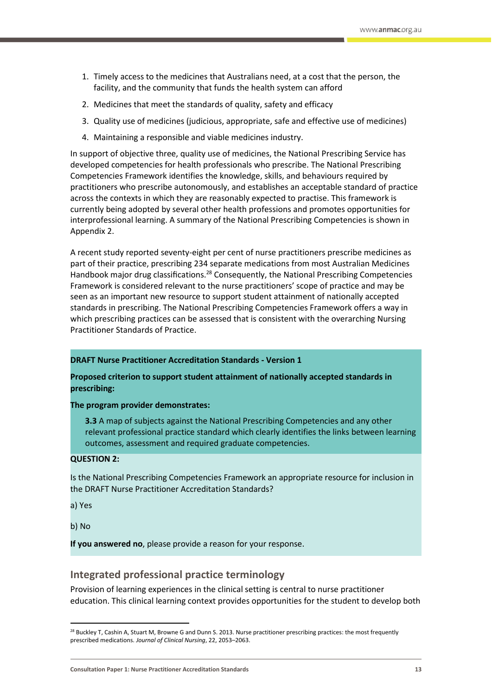- 1. Timely access to the medicines that Australians need, at a cost that the person, the facility, and the community that funds the health system can afford
- 2. Medicines that meet the standards of quality, safety and efficacy
- 3. Quality use of medicines (judicious, appropriate, safe and effective use of medicines)
- 4. Maintaining a responsible and viable medicines industry.

In support of objective three, quality use of medicines, the National Prescribing Service has developed competencies for health professionals who prescribe. The National Prescribing Competencies Framework identifies the knowledge, skills, and behaviours required by practitioners who prescribe autonomously, and establishes an acceptable standard of practice across the contexts in which they are reasonably expected to practise. This framework is currently being adopted by several other health professions and promotes opportunities for interprofessional learning. A summary of the National Prescribing Competencies is shown in Appendix 2.

A recent study reported seventy-eight per cent of nurse practitioners prescribe medicines as part of their practice, prescribing 234 separate medications from most Australian Medicines Handbook major drug classifications.<sup>28</sup> Consequently, the National Prescribing Competencies Framework is considered relevant to the nurse practitioners' scope of practice and may be seen as an important new resource to support student attainment of nationally accepted standards in prescribing. The National Prescribing Competencies Framework offers a way in which prescribing practices can be assessed that is consistent with the overarching Nursing Practitioner Standards of Practice.

## **DRAFT Nurse Practitioner Accreditation Standards - Version 1**

## **Proposed criterion to support student attainment of nationally accepted standards in prescribing:**

## **The program provider demonstrates:**

**3.3** A map of subjects against the National Prescribing Competencies and any other relevant professional practice standard which clearly identifies the links between learning outcomes, assessment and required graduate competencies.

## **QUESTION 2:**

Is the National Prescribing Competencies Framework an appropriate resource for inclusion in the DRAFT Nurse Practitioner Accreditation Standards?

a) Yes

b) No

**.** 

**If you answered no**, please provide a reason for your response.

# **Integrated professional practice terminology**

Provision of learning experiences in the clinical setting is central to nurse practitioner education. This clinical learning context provides opportunities for the student to develop both

**Consultation Paper 1: Nurse Practitioner Accreditation Standards 13**

<sup>&</sup>lt;sup>28</sup> Buckley T, Cashin A, Stuart M, Browne G and Dunn S. 2013. Nurse practitioner prescribing practices: the most frequently prescribed medications. *Journal of Clinical Nursing*, 22, 2053–2063.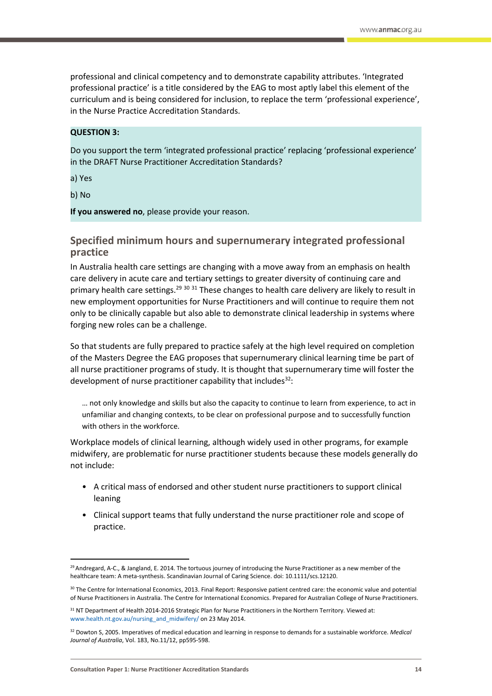professional and clinical competency and to demonstrate capability attributes. 'Integrated professional practice' is a title considered by the EAG to most aptly label this element of the curriculum and is being considered for inclusion, to replace the term 'professional experience', in the Nurse Practice Accreditation Standards.

## **QUESTION 3:**

Do you support the term 'integrated professional practice' replacing 'professional experience' in the DRAFT Nurse Practitioner Accreditation Standards?

a) Yes

b) No

**.** 

**If you answered no**, please provide your reason.

# **Specified minimum hours and supernumerary integrated professional practice**

In Australia health care settings are changing with a move away from an emphasis on health care delivery in acute care and tertiary settings to greater diversity of continuing care and primary health care settings.<sup>29 30 31</sup> These changes to health care delivery are likely to result in new employment opportunities for Nurse Practitioners and will continue to require them not only to be clinically capable but also able to demonstrate clinical leadership in systems where forging new roles can be a challenge.

So that students are fully prepared to practice safely at the high level required on completion of the Masters Degree the EAG proposes that supernumerary clinical learning time be part of all nurse practitioner programs of study. It is thought that supernumerary time will foster the development of nurse practitioner capability that includes $32$ :

… not only knowledge and skills but also the capacity to continue to learn from experience, to act in unfamiliar and changing contexts, to be clear on professional purpose and to successfully function with others in the workforce.

Workplace models of clinical learning, although widely used in other programs, for example midwifery, are problematic for nurse practitioner students because these models generally do not include:

- A critical mass of endorsed and other student nurse practitioners to support clinical leaning
- Clinical support teams that fully understand the nurse practitioner role and scope of practice.

<sup>&</sup>lt;sup>29</sup> Andregard, A-C., & Jangland, E. 2014. The tortuous journey of introducing the Nurse Practitioner as a new member of the healthcare team: A meta-synthesis. Scandinavian Journal of Caring Science. doi: 10.1111/scs.12120.

<sup>30</sup> The Centre for International Economics, 2013. Final Report: Responsive patient centred care: the economic value and potential of Nurse Practitioners in Australia. The Centre for International Economics. Prepared for Australian College of Nurse Practitioners.

<sup>&</sup>lt;sup>31</sup> NT Department of Health 2014-2016 Strategic Plan for Nurse Practitioners in the Northern Territory. Viewed at: [www.health.nt.gov.au/nursing\\_and\\_midwifery/](http://www.health.nt.gov.au/nursing_and_midwifery/) on 23 May 2014.

<sup>32</sup> Dowton S, 2005. Imperatives of medical education and learning in response to demands for a sustainable workforce. *Medical Journal of Australia*, Vol. 183, No.11/12, pp595-598.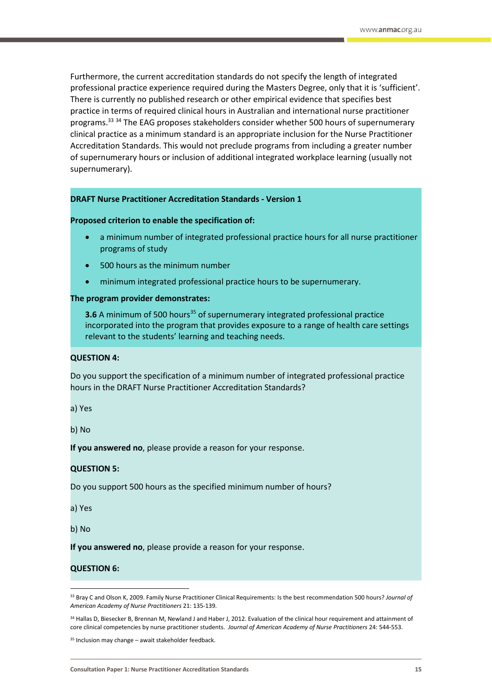Furthermore, the current accreditation standards do not specify the length of integrated professional practice experience required during the Masters Degree, only that it is 'sufficient'. There is currently no published research or other empirical evidence that specifies best practice in terms of required clinical hours in Australian and international nurse practitioner programs.<sup>33 34</sup> The EAG proposes stakeholders consider whether 500 hours of supernumerary clinical practice as a minimum standard is an appropriate inclusion for the Nurse Practitioner Accreditation Standards. This would not preclude programs from including a greater number of supernumerary hours or inclusion of additional integrated workplace learning (usually not supernumerary).

#### **DRAFT Nurse Practitioner Accreditation Standards - Version 1**

#### **Proposed criterion to enable the specification of:**

- a minimum number of integrated professional practice hours for all nurse practitioner programs of study
- 500 hours as the minimum number
- minimum integrated professional practice hours to be supernumerary.

#### **The program provider demonstrates:**

**3.6** A minimum of 500 hours<sup>35</sup> of supernumerary integrated professional practice incorporated into the program that provides exposure to a range of health care settings relevant to the students' learning and teaching needs.

## **QUESTION 4:**

Do you support the specification of a minimum number of integrated professional practice hours in the DRAFT Nurse Practitioner Accreditation Standards?

a) Yes

b) No

**If you answered no**, please provide a reason for your response.

### **QUESTION 5:**

Do you support 500 hours as the specified minimum number of hours?

a) Yes

b) No

**.** 

**If you answered no**, please provide a reason for your response.

## **QUESTION 6:**

<sup>33</sup> Bray C and Olson K, 2009. Family Nurse Practitioner Clinical Requirements: Is the best recommendation 500 hours? *Journal of American Academy of Nurse Practitioners* 21: 135-139.

<sup>34</sup> Hallas D, Biesecker B, Brennan M, Newland J and Haber J, 2012. Evaluation of the clinical hour requirement and attainment of core clinical competencies by nurse practitioner students. *Journal of American Academy of Nurse Practitioners* 24: 544-553.

 $35$  Inclusion may change – await stakeholder feedback.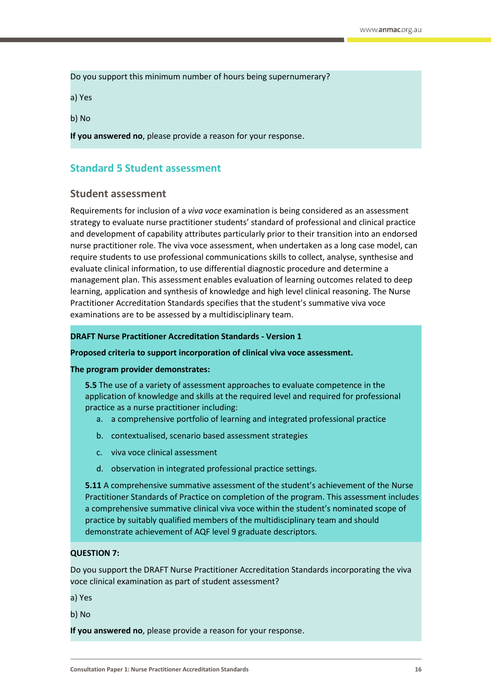Do you support this minimum number of hours being supernumerary?

a) Yes

b) No

**If you answered no**, please provide a reason for your response.

# <span id="page-15-0"></span>**Standard 5 Student assessment**

# **Student assessment**

Requirements for inclusion of a *viva voce* examination is being considered as an assessment strategy to evaluate nurse practitioner students' standard of professional and clinical practice and development of capability attributes particularly prior to their transition into an endorsed nurse practitioner role. The viva voce assessment, when undertaken as a long case model, can require students to use professional communications skills to collect, analyse, synthesise and evaluate clinical information, to use differential diagnostic procedure and determine a management plan. This assessment enables evaluation of learning outcomes related to deep learning, application and synthesis of knowledge and high level clinical reasoning. The Nurse Practitioner Accreditation Standards specifies that the student's summative viva voce examinations are to be assessed by a multidisciplinary team.

## **DRAFT Nurse Practitioner Accreditation Standards - Version 1**

### **Proposed criteria to support incorporation of clinical viva voce assessment.**

### **The program provider demonstrates:**

**5.5** The use of a variety of assessment approaches to evaluate competence in the application of knowledge and skills at the required level and required for professional practice as a nurse practitioner including:

- a. a comprehensive portfolio of learning and integrated professional practice
- b. contextualised, scenario based assessment strategies
- c. viva voce clinical assessment
- d. observation in integrated professional practice settings.

**5.11** A comprehensive summative assessment of the student's achievement of the Nurse Practitioner Standards of Practice on completion of the program. This assessment includes a comprehensive summative clinical viva voce within the student's nominated scope of practice by suitably qualified members of the multidisciplinary team and should demonstrate achievement of AQF level 9 graduate descriptors.

## **QUESTION 7:**

Do you support the DRAFT Nurse Practitioner Accreditation Standards incorporating the viva voce clinical examination as part of student assessment?

a) Yes

b) No

**If you answered no**, please provide a reason for your response.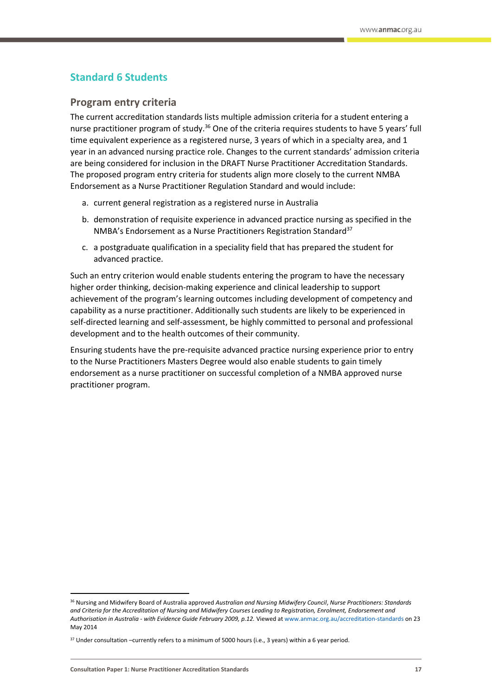# <span id="page-16-0"></span>**Standard 6 Students**

## **Program entry criteria**

The current accreditation standards lists multiple admission criteria for a student entering a nurse practitioner program of study.<sup>36</sup> One of the criteria requires students to have 5 years' full time equivalent experience as a registered nurse, 3 years of which in a specialty area, and 1 year in an advanced nursing practice role. Changes to the current standards' admission criteria are being considered for inclusion in the DRAFT Nurse Practitioner Accreditation Standards. The proposed program entry criteria for students align more closely to the current NMBA Endorsement as a Nurse Practitioner Regulation Standard and would include:

- a. current general registration as a registered nurse in Australia
- b. demonstration of requisite experience in advanced practice nursing as specified in the NMBA's Endorsement as a Nurse Practitioners Registration Standard<sup>37</sup>
- c. a postgraduate qualification in a speciality field that has prepared the student for advanced practice.

Such an entry criterion would enable students entering the program to have the necessary higher order thinking, decision-making experience and clinical leadership to support achievement of the program's learning outcomes including development of competency and capability as a nurse practitioner. Additionally such students are likely to be experienced in self-directed learning and self-assessment, be highly committed to personal and professional development and to the health outcomes of their community.

Ensuring students have the pre-requisite advanced practice nursing experience prior to entry to the Nurse Practitioners Masters Degree would also enable students to gain timely endorsement as a nurse practitioner on successful completion of a NMBA approved nurse practitioner program.

**.** 

<sup>36</sup> Nursing and Midwifery Board of Australia approved *Australian and Nursing Midwifery Council*, *Nurse Practitioners: Standards and Criteria for the Accreditation of Nursing and Midwifery Courses Leading to Registration, Enrolment, Endorsement and Authorisation in Australia - with Evidence Guide February 2009, p.12.* Viewed a[t www.anmac.org.au/accreditation-standards](http://www.anmac.org.au/accreditation-standards) on 23 May 2014

<sup>&</sup>lt;sup>37</sup> Under consultation –currently refers to a minimum of 5000 hours (i.e., 3 years) within a 6 year period.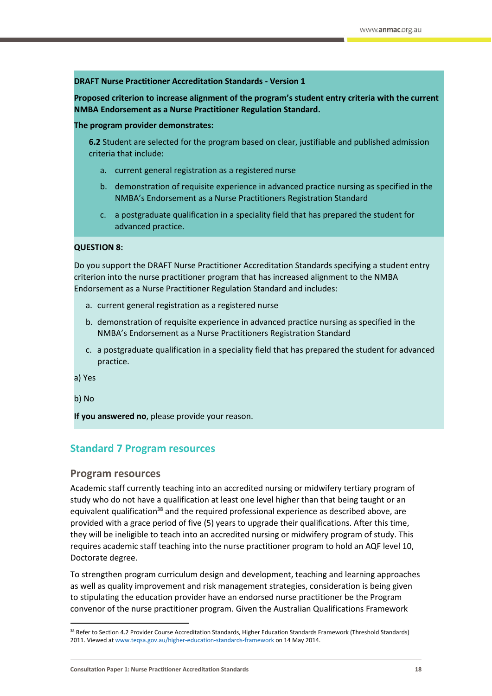## **DRAFT Nurse Practitioner Accreditation Standards - Version 1**

**Proposed criterion to increase alignment of the program's student entry criteria with the current NMBA Endorsement as a Nurse Practitioner Regulation Standard.**

**The program provider demonstrates:**

**6.2** Student are selected for the program based on clear, justifiable and published admission criteria that include:

- a. current general registration as a registered nurse
- b. demonstration of requisite experience in advanced practice nursing as specified in the NMBA's Endorsement as a Nurse Practitioners Registration Standard
- c. a postgraduate qualification in a speciality field that has prepared the student for advanced practice.

#### **QUESTION 8:**

Do you support the DRAFT Nurse Practitioner Accreditation Standards specifying a student entry criterion into the nurse practitioner program that has increased alignment to the NMBA Endorsement as a Nurse Practitioner Regulation Standard and includes:

- a. current general registration as a registered nurse
- b. demonstration of requisite experience in advanced practice nursing as specified in the NMBA's Endorsement as a Nurse Practitioners Registration Standard
- c. a postgraduate qualification in a speciality field that has prepared the student for advanced practice.

a) Yes

b) No

**.** 

**If you answered no**, please provide your reason.

# <span id="page-17-0"></span>**Standard 7 Program resources**

## **Program resources**

Academic staff currently teaching into an accredited nursing or midwifery tertiary program of study who do not have a qualification at least one level higher than that being taught or an equivalent qualification<sup>38</sup> and the required professional experience as described above, are provided with a grace period of five (5) years to upgrade their qualifications. After this time, they will be ineligible to teach into an accredited nursing or midwifery program of study. This requires academic staff teaching into the nurse practitioner program to hold an AQF level 10, Doctorate degree.

To strengthen program curriculum design and development, teaching and learning approaches as well as quality improvement and risk management strategies, consideration is being given to stipulating the education provider have an endorsed nurse practitioner be the Program convenor of the nurse practitioner program. Given the Australian Qualifications Framework

<sup>38</sup> Refer to Section 4.2 Provider Course Accreditation Standards, Higher Education Standards Framework (Threshold Standards) 2011. Viewed a[t www.teqsa.gov.au/higher-education-standards-framework](http://www.teqsa.gov.au/higher-education-standards-framework) on 14 May 2014.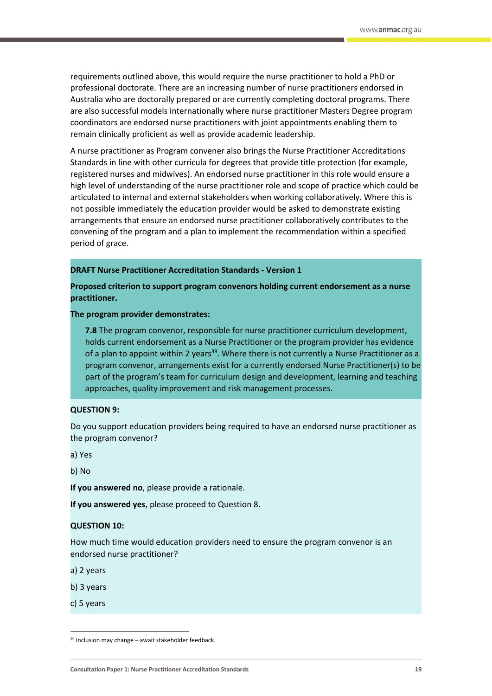requirements outlined above, this would require the nurse practitioner to hold a PhD or professional doctorate. There are an increasing number of nurse practitioners endorsed in Australia who are doctorally prepared or are currently completing doctoral programs. There are also successful models internationally where nurse practitioner Masters Degree program coordinators are endorsed nurse practitioners with joint appointments enabling them to remain clinically proficient as well as provide academic leadership.

A nurse practitioner as Program convener also brings the Nurse Practitioner Accreditations Standards in line with other curricula for degrees that provide title protection (for example, registered nurses and midwives). An endorsed nurse practitioner in this role would ensure a high level of understanding of the nurse practitioner role and scope of practice which could be articulated to internal and external stakeholders when working collaboratively. Where this is not possible immediately the education provider would be asked to demonstrate existing arrangements that ensure an endorsed nurse practitioner collaboratively contributes to the convening of the program and a plan to implement the recommendation within a specified period of grace.

## **DRAFT Nurse Practitioner Accreditation Standards - Version 1**

**Proposed criterion to support program convenors holding current endorsement as a nurse practitioner.**

**The program provider demonstrates:**

**7.8** The program convenor, responsible for nurse practitioner curriculum development, holds current endorsement as a Nurse Practitioner or the program provider has evidence of a plan to appoint within 2 years<sup>39</sup>. Where there is not currently a Nurse Practitioner as a program convenor, arrangements exist for a currently endorsed Nurse Practitioner(s) to be part of the program's team for curriculum design and development, learning and teaching approaches, quality improvement and risk management processes.

#### **QUESTION 9:**

Do you support education providers being required to have an endorsed nurse practitioner as the program convenor?

a) Yes

b) No

**If you answered no**, please provide a rationale.

**If you answered yes**, please proceed to Question 8.

#### **QUESTION 10:**

How much time would education providers need to ensure the program convenor is an endorsed nurse practitioner?

a) 2 years

- b) 3 years
- c) 5 years

 $\overline{a}$ 

 $39$  Inclusion may change – await stakeholder feedback.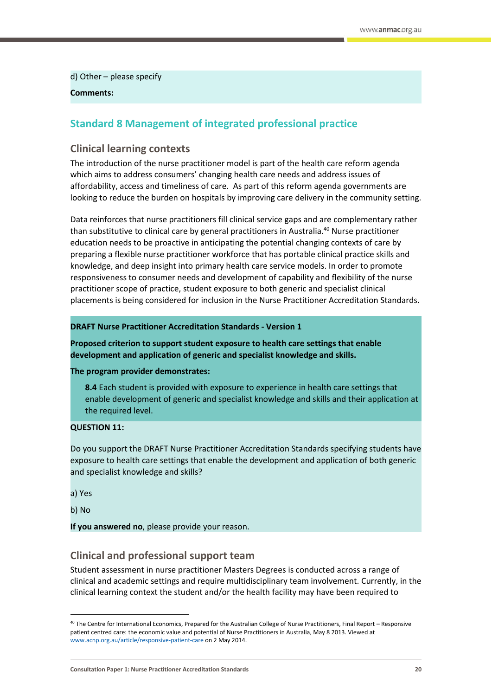d) Other – please specify

## **Comments:**

# <span id="page-19-0"></span>**Standard 8 Management of integrated professional practice**

# **Clinical learning contexts**

The introduction of the nurse practitioner model is part of the health care reform agenda which aims to address consumers' changing health care needs and address issues of affordability, access and timeliness of care. As part of this reform agenda governments are looking to reduce the burden on hospitals by improving care delivery in the community setting.

Data reinforces that nurse practitioners fill clinical service gaps and are complementary rather than substitutive to clinical care by general practitioners in Australia.<sup>40</sup> Nurse practitioner education needs to be proactive in anticipating the potential changing contexts of care by preparing a flexible nurse practitioner workforce that has portable clinical practice skills and knowledge, and deep insight into primary health care service models. In order to promote responsiveness to consumer needs and development of capability and flexibility of the nurse practitioner scope of practice, student exposure to both generic and specialist clinical placements is being considered for inclusion in the Nurse Practitioner Accreditation Standards.

## **DRAFT Nurse Practitioner Accreditation Standards - Version 1**

**Proposed criterion to support student exposure to health care settings that enable development and application of generic and specialist knowledge and skills.**

## **The program provider demonstrates:**

**8.4** Each student is provided with exposure to experience in health care settings that enable development of generic and specialist knowledge and skills and their application at the required level.

## **QUESTION 11:**

Do you support the DRAFT Nurse Practitioner Accreditation Standards specifying students have exposure to health care settings that enable the development and application of both generic and specialist knowledge and skills?

a) Yes

b) No

**.** 

**If you answered no**, please provide your reason.

# **Clinical and professional support team**

Student assessment in nurse practitioner Masters Degrees is conducted across a range of clinical and academic settings and require multidisciplinary team involvement. Currently, in the clinical learning context the student and/or the health facility may have been required to

<sup>40</sup> The Centre for International Economics, Prepared for the Australian College of Nurse Practitioners, Final Report – Responsive patient centred care: the economic value and potential of Nurse Practitioners in Australia, May 8 2013. Viewed at [www.acnp.org.au/article/responsive-patient-care](http://www.acnp.org.au/article/responsive-patient-care) on 2 May 2014.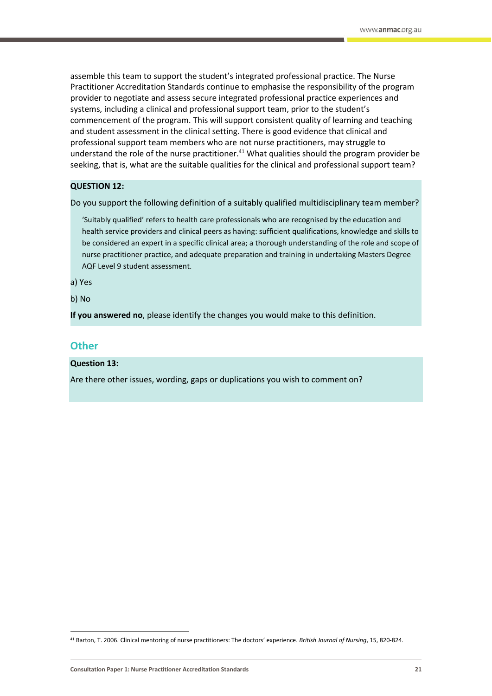assemble this team to support the student's integrated professional practice. The Nurse Practitioner Accreditation Standards continue to emphasise the responsibility of the program provider to negotiate and assess secure integrated professional practice experiences and systems, including a clinical and professional support team, prior to the student's commencement of the program. This will support consistent quality of learning and teaching and student assessment in the clinical setting. There is good evidence that clinical and professional support team members who are not nurse practitioners, may struggle to understand the role of the nurse practitioner.<sup>41</sup> What qualities should the program provider be seeking, that is, what are the suitable qualities for the clinical and professional support team?

# **QUESTION 12:**

Do you support the following definition of a suitably qualified multidisciplinary team member?

'Suitably qualified' refers to health care professionals who are recognised by the education and health service providers and clinical peers as having: sufficient qualifications, knowledge and skills to be considered an expert in a specific clinical area; a thorough understanding of the role and scope of nurse practitioner practice, and adequate preparation and training in undertaking Masters Degree AQF Level 9 student assessment.

a) Yes

b) No

<span id="page-20-0"></span>**If you answered no**, please identify the changes you would make to this definition.

## **Other**

 $\overline{a}$ 

**Question 13:**

Are there other issues, wording, gaps or duplications you wish to comment on?

<sup>41</sup> Barton, T. 2006. Clinical mentoring of nurse practitioners: The doctors' experience. *British Journal of Nursing*, 15, 820-824.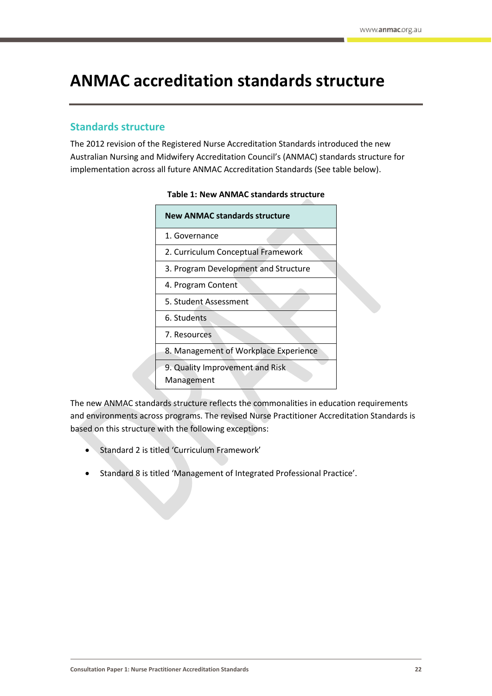# <span id="page-21-0"></span>**ANMAC accreditation standards structure**

# <span id="page-21-1"></span>**Standards structure**

The 2012 revision of the Registered Nurse Accreditation Standards introduced the new Australian Nursing and Midwifery Accreditation Council's (ANMAC) standards structure for implementation across all future ANMAC Accreditation Standards (See table below).

| <b>New ANMAC standards structure</b>          |
|-----------------------------------------------|
| 1. Governance                                 |
| 2. Curriculum Conceptual Framework            |
| 3. Program Development and Structure          |
| 4. Program Content                            |
| 5. Student Assessment                         |
| 6. Students                                   |
| 7. Resources                                  |
| 8. Management of Workplace Experience         |
| 9. Quality Improvement and Risk<br>Management |

## **Table 1: New ANMAC standards structure**

The new ANMAC standards structure reflects the commonalities in education requirements and environments across programs. The revised Nurse Practitioner Accreditation Standards is based on this structure with the following exceptions:

- Standard 2 is titled 'Curriculum Framework'
- Standard 8 is titled 'Management of Integrated Professional Practice'.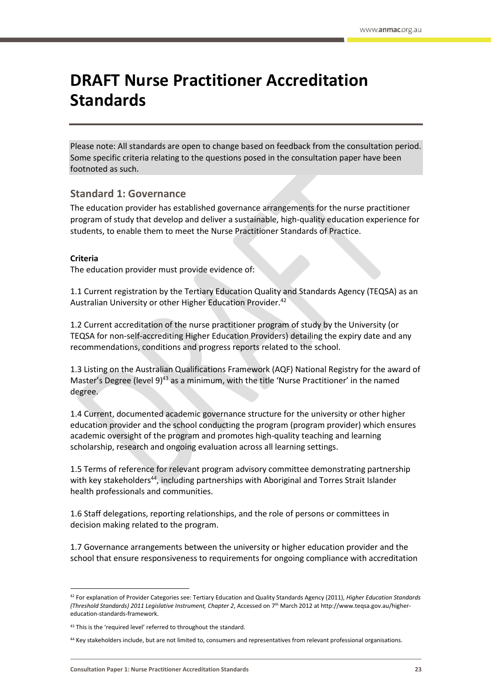# <span id="page-22-0"></span>**DRAFT Nurse Practitioner Accreditation Standards**

Please note: All standards are open to change based on feedback from the consultation period. Some specific criteria relating to the questions posed in the consultation paper have been footnoted as such.

# **Standard 1: Governance**

The education provider has established governance arrangements for the nurse practitioner program of study that develop and deliver a sustainable, high-quality education experience for students, to enable them to meet the Nurse Practitioner Standards of Practice.

## **Criteria**

**.** 

The education provider must provide evidence of:

1.1 Current registration by the Tertiary Education Quality and Standards Agency (TEQSA) as an Australian University or other Higher Education Provider.<sup>42</sup>

1.2 Current accreditation of the nurse practitioner program of study by the University (or TEQSA for non-self-accrediting Higher Education Providers) detailing the expiry date and any recommendations, conditions and progress reports related to the school.

1.3 Listing on the Australian Qualifications Framework (AQF) National Registry for the award of Master's Degree (level 9)<sup>43</sup> as a minimum, with the title 'Nurse Practitioner' in the named degree.

1.4 Current, documented academic governance structure for the university or other higher education provider and the school conducting the program (program provider) which ensures academic oversight of the program and promotes high-quality teaching and learning scholarship, research and ongoing evaluation across all learning settings.

1.5 Terms of reference for relevant program advisory committee demonstrating partnership with key stakeholders<sup>44</sup>, including partnerships with Aboriginal and Torres Strait Islander health professionals and communities.

1.6 Staff delegations, reporting relationships, and the role of persons or committees in decision making related to the program.

1.7 Governance arrangements between the university or higher education provider and the school that ensure responsiveness to requirements for ongoing compliance with accreditation

<sup>42</sup> For explanation of Provider Categories see: Tertiary Education and Quality Standards Agency (2011), *Higher Education Standards (Threshold Standards) 2011 Legislative Instrument, Chapter 2*, Accessed on 7th March 2012 at http://www.teqsa.gov.au/highereducation-standards-framework.

<sup>43</sup> This is the 'required level' referred to throughout the standard.

<sup>&</sup>lt;sup>44</sup> Key stakeholders include, but are not limited to, consumers and representatives from relevant professional organisations.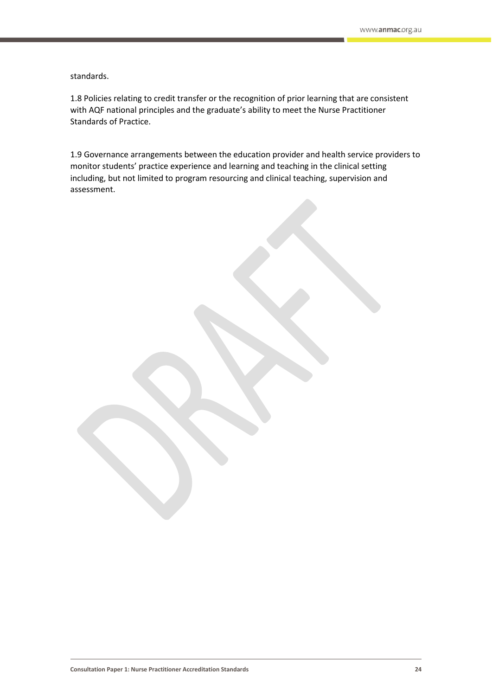standards.

1.8 Policies relating to credit transfer or the recognition of prior learning that are consistent with AQF national principles and the graduate's ability to meet the Nurse Practitioner Standards of Practice.

1.9 Governance arrangements between the education provider and health service providers to monitor students' practice experience and learning and teaching in the clinical setting including, but not limited to program resourcing and clinical teaching, supervision and assessment.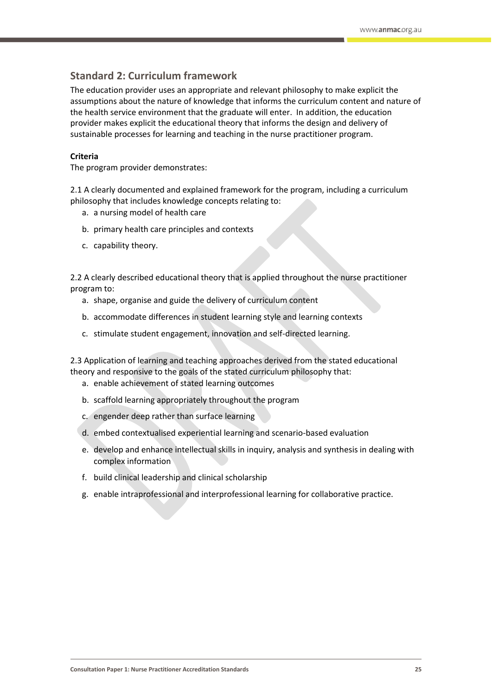# **Standard 2: Curriculum framework**

The education provider uses an appropriate and relevant philosophy to make explicit the assumptions about the nature of knowledge that informs the curriculum content and nature of the health service environment that the graduate will enter. In addition, the education provider makes explicit the educational theory that informs the design and delivery of sustainable processes for learning and teaching in the nurse practitioner program.

# **Criteria**

The program provider demonstrates:

2.1 A clearly documented and explained framework for the program, including a curriculum philosophy that includes knowledge concepts relating to:

- a. a nursing model of health care
- b. primary health care principles and contexts
- c. capability theory.

2.2 A clearly described educational theory that is applied throughout the nurse practitioner program to:

- a. shape, organise and guide the delivery of curriculum content
- b. accommodate differences in student learning style and learning contexts
- c. stimulate student engagement, innovation and self-directed learning.

2.3 Application of learning and teaching approaches derived from the stated educational theory and responsive to the goals of the stated curriculum philosophy that:

- a. enable achievement of stated learning outcomes
- b. scaffold learning appropriately throughout the program
- c. engender deep rather than surface learning
- d. embed contextualised experiential learning and scenario-based evaluation
- e. develop and enhance intellectual skills in inquiry, analysis and synthesis in dealing with complex information
- f. build clinical leadership and clinical scholarship
- g. enable intraprofessional and interprofessional learning for collaborative practice.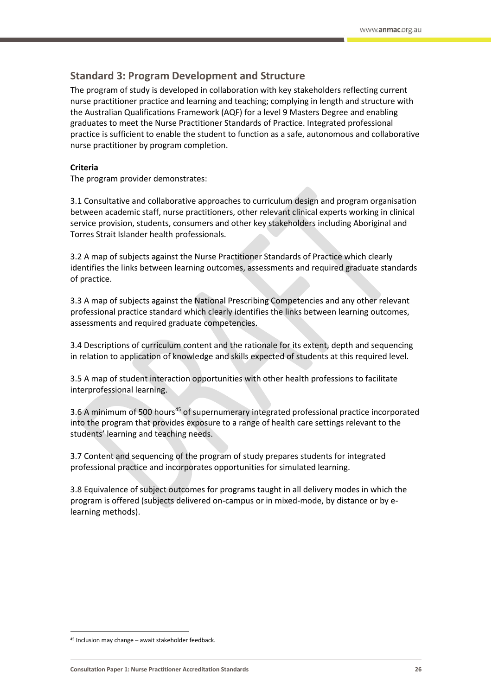# **Standard 3: Program Development and Structure**

The program of study is developed in collaboration with key stakeholders reflecting current nurse practitioner practice and learning and teaching; complying in length and structure with the Australian Qualifications Framework (AQF) for a level 9 Masters Degree and enabling graduates to meet the Nurse Practitioner Standards of Practice. Integrated professional practice is sufficient to enable the student to function as a safe, autonomous and collaborative nurse practitioner by program completion.

## **Criteria**

The program provider demonstrates:

3.1 Consultative and collaborative approaches to curriculum design and program organisation between academic staff, nurse practitioners, other relevant clinical experts working in clinical service provision, students, consumers and other key stakeholders including Aboriginal and Torres Strait Islander health professionals.

3.2 A map of subjects against the Nurse Practitioner Standards of Practice which clearly identifies the links between learning outcomes, assessments and required graduate standards of practice.

3.3 A map of subjects against the National Prescribing Competencies and any other relevant professional practice standard which clearly identifies the links between learning outcomes, assessments and required graduate competencies.

3.4 Descriptions of curriculum content and the rationale for its extent, depth and sequencing in relation to application of knowledge and skills expected of students at this required level.

3.5 A map of student interaction opportunities with other health professions to facilitate interprofessional learning.

3.6 A minimum of 500 hours<sup>45</sup> of supernumerary integrated professional practice incorporated into the program that provides exposure to a range of health care settings relevant to the students' learning and teaching needs.

3.7 Content and sequencing of the program of study prepares students for integrated professional practice and incorporates opportunities for simulated learning.

3.8 Equivalence of subject outcomes for programs taught in all delivery modes in which the program is offered (subjects delivered on-campus or in mixed-mode, by distance or by elearning methods).

 $\overline{a}$ 

 $45$  Inclusion may change – await stakeholder feedback.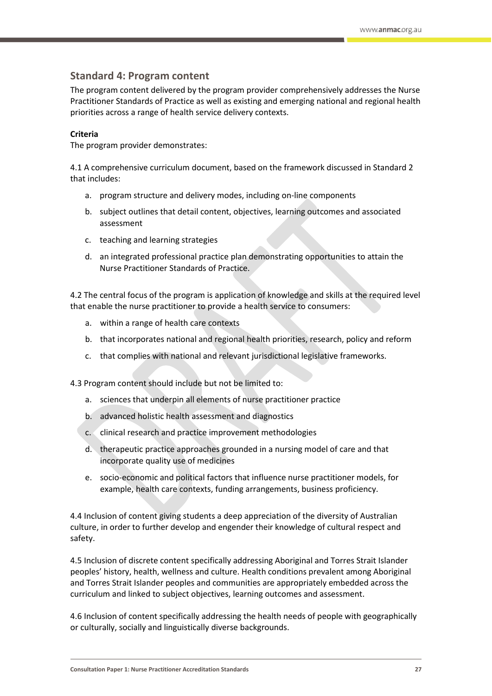# **Standard 4: Program content**

The program content delivered by the program provider comprehensively addresses the Nurse Practitioner Standards of Practice as well as existing and emerging national and regional health priorities across a range of health service delivery contexts.

## **Criteria**

The program provider demonstrates:

4.1 A comprehensive curriculum document, based on the framework discussed in Standard 2 that includes:

- a. program structure and delivery modes, including on-line components
- b. subject outlines that detail content, objectives, learning outcomes and associated assessment
- c. teaching and learning strategies
- d. an integrated professional practice plan demonstrating opportunities to attain the Nurse Practitioner Standards of Practice.

4.2 The central focus of the program is application of knowledge and skills at the required level that enable the nurse practitioner to provide a health service to consumers:

- a. within a range of health care contexts
- b. that incorporates national and regional health priorities, research, policy and reform
- c. that complies with national and relevant jurisdictional legislative frameworks.

4.3 Program content should include but not be limited to:

- a. sciences that underpin all elements of nurse practitioner practice
- b. advanced holistic health assessment and diagnostics
- c. clinical research and practice improvement methodologies
- d. therapeutic practice approaches grounded in a nursing model of care and that incorporate quality use of medicines
- e. socio-economic and political factors that influence nurse practitioner models, for example, health care contexts, funding arrangements, business proficiency.

4.4 Inclusion of content giving students a deep appreciation of the diversity of Australian culture, in order to further develop and engender their knowledge of cultural respect and safety.

4.5 Inclusion of discrete content specifically addressing Aboriginal and Torres Strait Islander peoples' history, health, wellness and culture. Health conditions prevalent among Aboriginal and Torres Strait Islander peoples and communities are appropriately embedded across the curriculum and linked to subject objectives, learning outcomes and assessment.

4.6 Inclusion of content specifically addressing the health needs of people with geographically or culturally, socially and linguistically diverse backgrounds.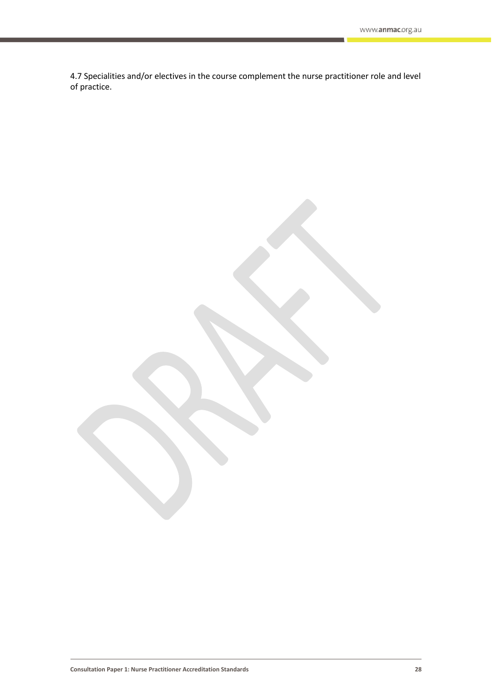4.7 Specialities and/or electives in the course complement the nurse practitioner role and level of practice.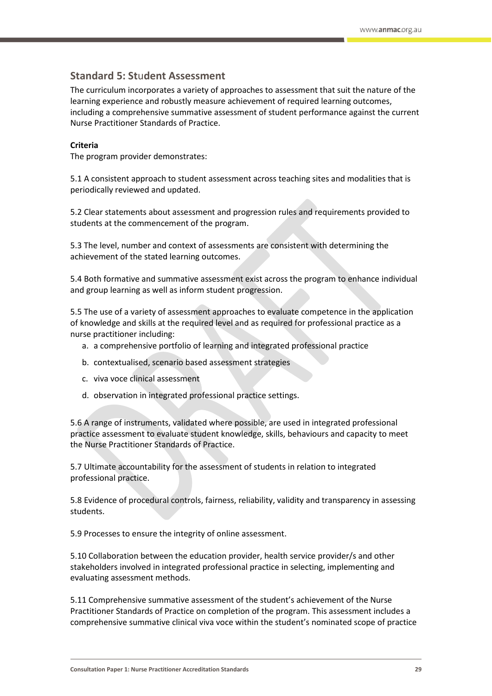# **Standard 5: St**u**dent Assessment**

The curriculum incorporates a variety of approaches to assessment that suit the nature of the learning experience and robustly measure achievement of required learning outcomes, including a comprehensive summative assessment of student performance against the current Nurse Practitioner Standards of Practice.

# **Criteria**

The program provider demonstrates:

5.1 A consistent approach to student assessment across teaching sites and modalities that is periodically reviewed and updated.

5.2 Clear statements about assessment and progression rules and requirements provided to students at the commencement of the program.

5.3 The level, number and context of assessments are consistent with determining the achievement of the stated learning outcomes.

5.4 Both formative and summative assessment exist across the program to enhance individual and group learning as well as inform student progression.

5.5 The use of a variety of assessment approaches to evaluate competence in the application of knowledge and skills at the required level and as required for professional practice as a nurse practitioner including:

- a. a comprehensive portfolio of learning and integrated professional practice
- b. contextualised, scenario based assessment strategies
- c. viva voce clinical assessment
- d. observation in integrated professional practice settings.

5.6 A range of instruments, validated where possible, are used in integrated professional practice assessment to evaluate student knowledge, skills, behaviours and capacity to meet the Nurse Practitioner Standards of Practice.

5.7 Ultimate accountability for the assessment of students in relation to integrated professional practice.

5.8 Evidence of procedural controls, fairness, reliability, validity and transparency in assessing students.

5.9 Processes to ensure the integrity of online assessment.

5.10 Collaboration between the education provider, health service provider/s and other stakeholders involved in integrated professional practice in selecting, implementing and evaluating assessment methods.

5.11 Comprehensive summative assessment of the student's achievement of the Nurse Practitioner Standards of Practice on completion of the program. This assessment includes a comprehensive summative clinical viva voce within the student's nominated scope of practice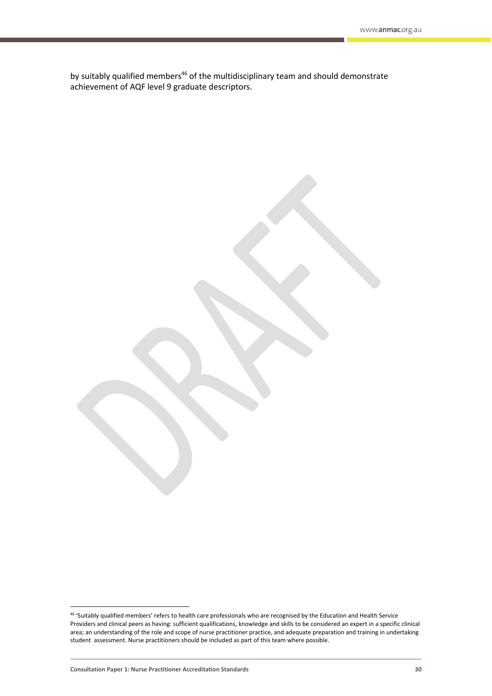by suitably qualified members<sup>46</sup> of the multidisciplinary team and should demonstrate achievement of AQF level 9 graduate descriptors.

 $\overline{a}$ 

<sup>46</sup> 'Suitably qualified members' refers to health care professionals who are recognised by the Education and Health Service Providers and clinical peers as having: sufficient qualifications, knowledge and skills to be considered an expert in a specific clinical area; an understanding of the role and scope of nurse practitioner practice, and adequate preparation and training in undertaking student assessment. Nurse practitioners should be included as part of this team where possible.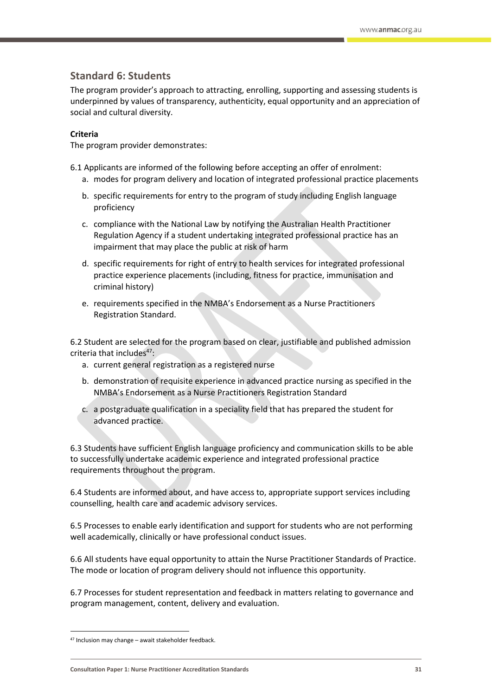# **Standard 6: Students**

The program provider's approach to attracting, enrolling, supporting and assessing students is underpinned by values of transparency, authenticity, equal opportunity and an appreciation of social and cultural diversity.

## **Criteria**

The program provider demonstrates:

- 6.1 Applicants are informed of the following before accepting an offer of enrolment:
	- a. modes for program delivery and location of integrated professional practice placements
	- b. specific requirements for entry to the program of study including English language proficiency
	- c. compliance with the National Law by notifying the Australian Health Practitioner Regulation Agency if a student undertaking integrated professional practice has an impairment that may place the public at risk of harm
	- d. specific requirements for right of entry to health services for integrated professional practice experience placements (including, fitness for practice, immunisation and criminal history)
	- e. requirements specified in the NMBA's Endorsement as a Nurse Practitioners Registration Standard.

6.2 Student are selected for the program based on clear, justifiable and published admission criteria that includes<sup>47</sup>:

- a. current general registration as a registered nurse
- b. demonstration of requisite experience in advanced practice nursing as specified in the NMBA's Endorsement as a Nurse Practitioners Registration Standard
- c. a postgraduate qualification in a speciality field that has prepared the student for advanced practice.

6.3 Students have sufficient English language proficiency and communication skills to be able to successfully undertake academic experience and integrated professional practice requirements throughout the program.

6.4 Students are informed about, and have access to, appropriate support services including counselling, health care and academic advisory services.

6.5 Processes to enable early identification and support for students who are not performing well academically, clinically or have professional conduct issues.

6.6 All students have equal opportunity to attain the Nurse Practitioner Standards of Practice. The mode or location of program delivery should not influence this opportunity.

6.7 Processes for student representation and feedback in matters relating to governance and program management, content, delivery and evaluation.

 $\overline{a}$ 

 $47$  Inclusion may change – await stakeholder feedback.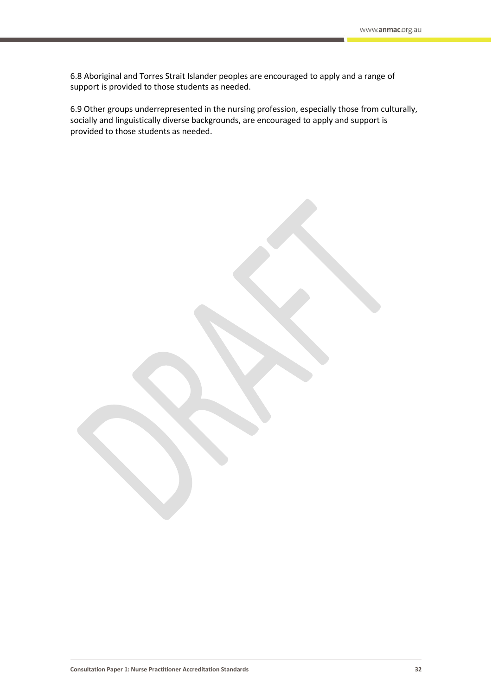6.8 Aboriginal and Torres Strait Islander peoples are encouraged to apply and a range of support is provided to those students as needed.

6.9 Other groups underrepresented in the nursing profession, especially those from culturally, socially and linguistically diverse backgrounds, are encouraged to apply and support is provided to those students as needed.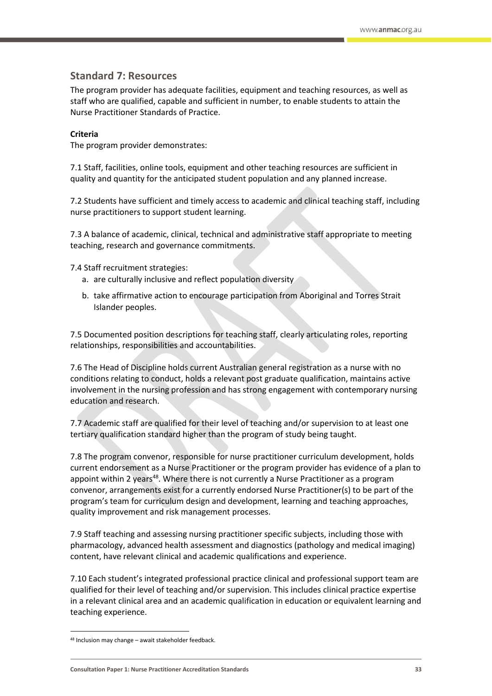# **Standard 7: Resources**

The program provider has adequate facilities, equipment and teaching resources, as well as staff who are qualified, capable and sufficient in number, to enable students to attain the Nurse Practitioner Standards of Practice.

## **Criteria**

The program provider demonstrates:

7.1 Staff, facilities, online tools, equipment and other teaching resources are sufficient in quality and quantity for the anticipated student population and any planned increase.

7.2 Students have sufficient and timely access to academic and clinical teaching staff, including nurse practitioners to support student learning.

7.3 A balance of academic, clinical, technical and administrative staff appropriate to meeting teaching, research and governance commitments.

7.4 Staff recruitment strategies:

- a. are culturally inclusive and reflect population diversity
- b. take affirmative action to encourage participation from Aboriginal and Torres Strait Islander peoples.

7.5 Documented position descriptions for teaching staff, clearly articulating roles, reporting relationships, responsibilities and accountabilities.

7.6 The Head of Discipline holds current Australian general registration as a nurse with no conditions relating to conduct, holds a relevant post graduate qualification, maintains active involvement in the nursing profession and has strong engagement with contemporary nursing education and research.

7.7 Academic staff are qualified for their level of teaching and/or supervision to at least one tertiary qualification standard higher than the program of study being taught.

7.8 The program convenor, responsible for nurse practitioner curriculum development, holds current endorsement as a Nurse Practitioner or the program provider has evidence of a plan to appoint within 2 years<sup>48</sup>. Where there is not currently a Nurse Practitioner as a program convenor, arrangements exist for a currently endorsed Nurse Practitioner(s) to be part of the program's team for curriculum design and development, learning and teaching approaches, quality improvement and risk management processes.

7.9 Staff teaching and assessing nursing practitioner specific subjects, including those with pharmacology, advanced health assessment and diagnostics (pathology and medical imaging) content, have relevant clinical and academic qualifications and experience.

7.10 Each student's integrated professional practice clinical and professional support team are qualified for their level of teaching and/or supervision. This includes clinical practice expertise in a relevant clinical area and an academic qualification in education or equivalent learning and teaching experience.

 $\overline{a}$ 

 $48$  Inclusion may change – await stakeholder feedback.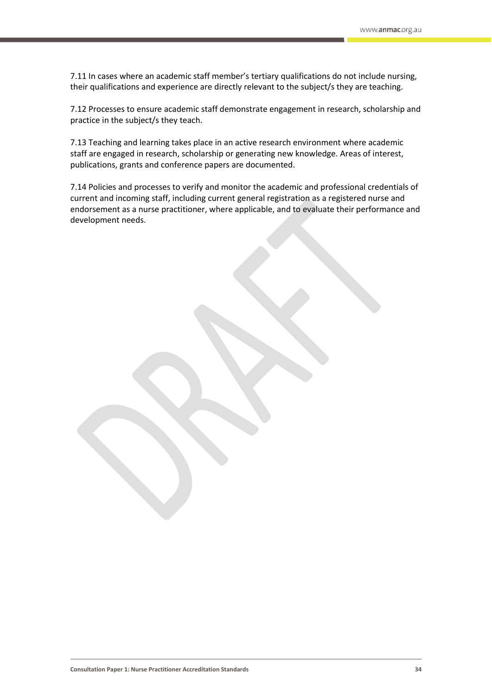7.11 In cases where an academic staff member's tertiary qualifications do not include nursing, their qualifications and experience are directly relevant to the subject/s they are teaching.

7.12 Processes to ensure academic staff demonstrate engagement in research, scholarship and practice in the subject/s they teach.

7.13 Teaching and learning takes place in an active research environment where academic staff are engaged in research, scholarship or generating new knowledge. Areas of interest, publications, grants and conference papers are documented.

7.14 Policies and processes to verify and monitor the academic and professional credentials of current and incoming staff, including current general registration as a registered nurse and endorsement as a nurse practitioner, where applicable, and to evaluate their performance and development needs.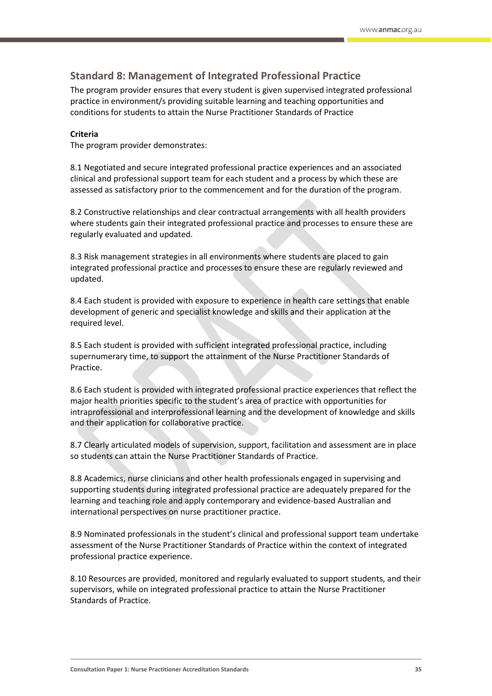# **Standard 8: Management of Integrated Professional Practice**

The program provider ensures that every student is given supervised integrated professional practice in environment/s providing suitable learning and teaching opportunities and conditions for students to attain the Nurse Practitioner Standards of Practice

## **Criteria**

The program provider demonstrates:

8.1 Negotiated and secure integrated professional practice experiences and an associated clinical and professional support team for each student and a process by which these are assessed as satisfactory prior to the commencement and for the duration of the program.

8.2 Constructive relationships and clear contractual arrangements with all health providers where students gain their integrated professional practice and processes to ensure these are regularly evaluated and updated.

8.3 Risk management strategies in all environments where students are placed to gain integrated professional practice and processes to ensure these are regularly reviewed and updated.

8.4 Each student is provided with exposure to experience in health care settings that enable development of generic and specialist knowledge and skills and their application at the required level.

8.5 Each student is provided with sufficient integrated professional practice, including supernumerary time, to support the attainment of the Nurse Practitioner Standards of Practice.

8.6 Each student is provided with integrated professional practice experiences that reflect the major health priorities specific to the student's area of practice with opportunities for intraprofessional and interprofessional learning and the development of knowledge and skills and their application for collaborative practice.

8.7 Clearly articulated models of supervision, support, facilitation and assessment are in place so students can attain the Nurse Practitioner Standards of Practice.

8.8 Academics, nurse clinicians and other health professionals engaged in supervising and supporting students during integrated professional practice are adequately prepared for the learning and teaching role and apply contemporary and evidence-based Australian and international perspectives on nurse practitioner practice.

8.9 Nominated professionals in the student's clinical and professional support team undertake assessment of the Nurse Practitioner Standards of Practice within the context of integrated professional practice experience.

8.10 Resources are provided, monitored and regularly evaluated to support students, and their supervisors, while on integrated professional practice to attain the Nurse Practitioner Standards of Practice.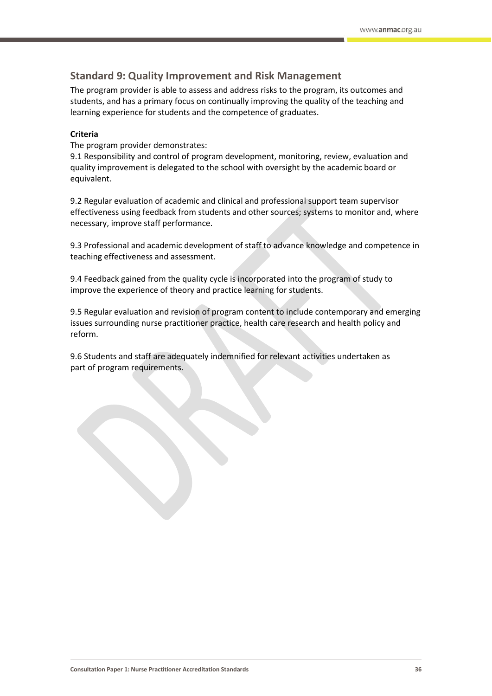# **Standard 9: Quality Improvement and Risk Management**

The program provider is able to assess and address risks to the program, its outcomes and students, and has a primary focus on continually improving the quality of the teaching and learning experience for students and the competence of graduates.

## **Criteria**

The program provider demonstrates:

9.1 Responsibility and control of program development, monitoring, review, evaluation and quality improvement is delegated to the school with oversight by the academic board or equivalent.

9.2 Regular evaluation of academic and clinical and professional support team supervisor effectiveness using feedback from students and other sources; systems to monitor and, where necessary, improve staff performance.

9.3 Professional and academic development of staff to advance knowledge and competence in teaching effectiveness and assessment.

9.4 Feedback gained from the quality cycle is incorporated into the program of study to improve the experience of theory and practice learning for students.

9.5 Regular evaluation and revision of program content to include contemporary and emerging issues surrounding nurse practitioner practice, health care research and health policy and reform.

9.6 Students and staff are adequately indemnified for relevant activities undertaken as part of program requirements.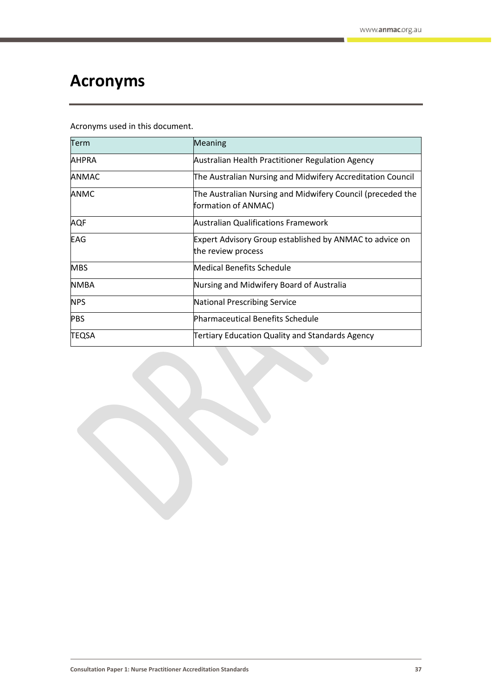# <span id="page-36-0"></span>**Acronyms**

Acronyms used in this document.

| Term         | Meaning                                                                           |
|--------------|-----------------------------------------------------------------------------------|
| <b>AHPRA</b> | Australian Health Practitioner Regulation Agency                                  |
| <b>ANMAC</b> | The Australian Nursing and Midwifery Accreditation Council                        |
| <b>ANMC</b>  | The Australian Nursing and Midwifery Council (preceded the<br>formation of ANMAC) |
| <b>AQF</b>   | <b>Australian Qualifications Framework</b>                                        |
| <b>EAG</b>   | Expert Advisory Group established by ANMAC to advice on<br>the review process     |
| <b>MBS</b>   | <b>Medical Benefits Schedule</b>                                                  |
| <b>NMBA</b>  | Nursing and Midwifery Board of Australia                                          |
| <b>NPS</b>   | National Prescribing Service                                                      |
| <b>PBS</b>   | Pharmaceutical Benefits Schedule                                                  |
| <b>TEQSA</b> | Tertiary Education Quality and Standards Agency                                   |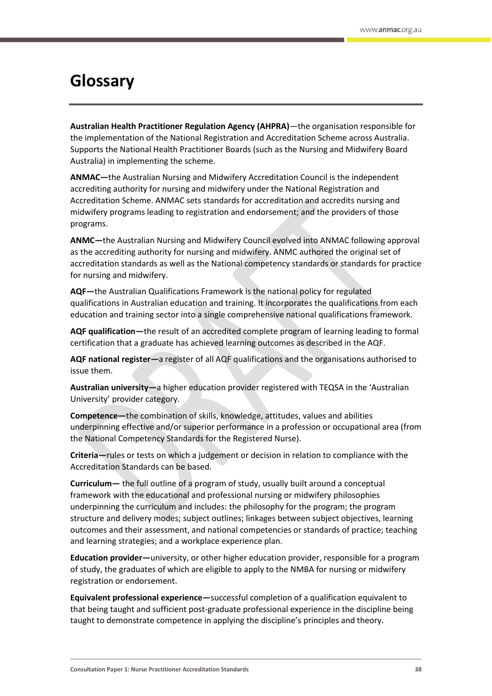# <span id="page-37-0"></span>**Glossary**

**Australian Health Practitioner Regulation Agency (AHPRA)**—the organisation responsible for the implementation of the National Registration and Accreditation Scheme across Australia. Supports the National Health Practitioner Boards (such as the Nursing and Midwifery Board Australia) in implementing the scheme.

**ANMAC—**the Australian Nursing and Midwifery Accreditation Council is the independent accrediting authority for nursing and midwifery under the National Registration and Accreditation Scheme. ANMAC sets standards for accreditation and accredits nursing and midwifery programs leading to registration and endorsement; and the providers of those programs.

**ANMC—**the Australian Nursing and Midwifery Council evolved into ANMAC following approval as the accrediting authority for nursing and midwifery. ANMC authored the original set of accreditation standards as well as the National competency standards or standards for practice for nursing and midwifery.

**AQF—**the Australian Qualifications Framework is the national policy for regulated qualifications in Australian education and training. It incorporates the qualifications from each education and training sector into a single comprehensive national qualifications framework.

**AQF qualification—**the result of an accredited complete program of learning leading to formal certification that a graduate has achieved learning outcomes as described in the AQF.

**AQF national register—**a register of all AQF qualifications and the organisations authorised to issue them.

**Australian university—**a higher education provider registered with TEQSA in the 'Australian University' provider category.

**Competence—**the combination of skills, knowledge, attitudes, values and abilities underpinning effective and/or superior performance in a profession or occupational area (from the National Competency Standards for the Registered Nurse).

**Criteria—**rules or tests on which a judgement or decision in relation to compliance with the Accreditation Standards can be based.

**Curriculum—** the full outline of a program of study, usually built around a conceptual framework with the educational and professional nursing or midwifery philosophies underpinning the curriculum and includes: the philosophy for the program; the program structure and delivery modes; subject outlines; linkages between subject objectives, learning outcomes and their assessment, and national competencies or standards of practice; teaching and learning strategies; and a workplace experience plan.

**Education provider—**university, or other higher education provider, responsible for a program of study, the graduates of which are eligible to apply to the NMBA for nursing or midwifery registration or endorsement.

**Equivalent professional experience—**successful completion of a qualification equivalent to that being taught and sufficient post-graduate professional experience in the discipline being taught to demonstrate competence in applying the discipline's principles and theory.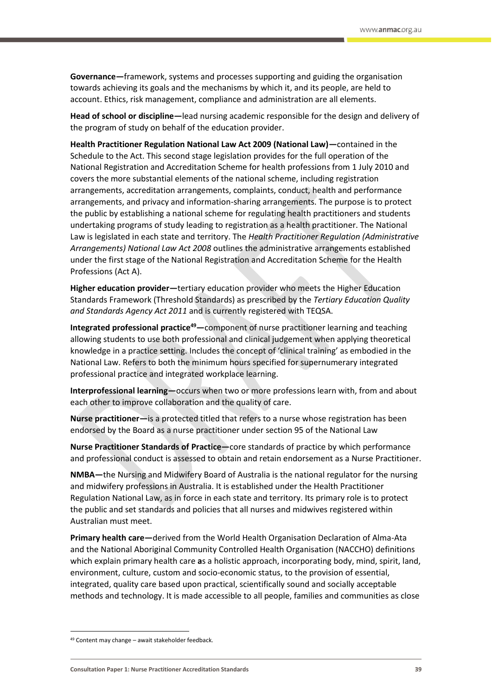**Governance—**framework, systems and processes supporting and guiding the organisation towards achieving its goals and the mechanisms by which it, and its people, are held to account. Ethics, risk management, compliance and administration are all elements.

**Head of school or discipline—**lead nursing academic responsible for the design and delivery of the program of study on behalf of the education provider.

**Health Practitioner Regulation National Law Act 2009 (National Law)—**contained in the Schedule to the Act. This second stage legislation provides for the full operation of the National Registration and Accreditation Scheme for health professions from 1 July 2010 and covers the more substantial elements of the national scheme, including registration arrangements, accreditation arrangements, complaints, conduct, health and performance arrangements, and privacy and information-sharing arrangements. The purpose is to protect the public by establishing a national scheme for regulating health practitioners and students undertaking programs of study leading to registration as a health practitioner. The National Law is legislated in each state and territory. The *Health Practitioner Regulation (Administrative Arrangements) National Law Act 2008* outlines the administrative arrangements established under the first stage of the National Registration and Accreditation Scheme for the Health Professions (Act A).

**Higher education provider—**tertiary education provider who meets the Higher Education Standards Framework (Threshold Standards) as prescribed by the *Tertiary Education Quality and Standards Agency Act 2011* and is currently registered with TEQSA.

**Integrated professional practice<sup>49</sup>—**component of nurse practitioner learning and teaching allowing students to use both professional and clinical judgement when applying theoretical knowledge in a practice setting. Includes the concept of 'clinical training' as embodied in the National Law. Refers to both the minimum hours specified for supernumerary integrated professional practice and integrated workplace learning.

**Interprofessional learning—**occurs when two or more professions learn with, from and about each other to improve collaboration and the quality of care.

**Nurse practitioner—**is a protected titled that refers to a nurse whose registration has been endorsed by the Board as a nurse practitioner under section 95 of the National Law

**Nurse Practitioner Standards of Practice—**core standards of practice by which performance and professional conduct is assessed to obtain and retain endorsement as a Nurse Practitioner.

**NMBA—**the Nursing and Midwifery Board of Australia is the national regulator for the nursing and midwifery professions in Australia. It is established under the Health Practitioner Regulation National Law, as in force in each state and territory. Its primary role is to protect the public and set standards and policies that all nurses and midwives registered within Australian must meet.

**Primary health care—**derived from the World Health Organisation Declaration of Alma-Ata and the National Aboriginal Community Controlled Health Organisation (NACCHO) definitions which explain primary health care **a**s a holistic approach, incorporating body, mind, spirit, land, environment, culture, custom and socio-economic status, to the provision of essential, integrated, quality care based upon practical, scientifically sound and socially acceptable methods and technology. It is made accessible to all people, families and communities as close

 $\overline{a}$ 

<sup>49</sup> Content may change – await stakeholder feedback.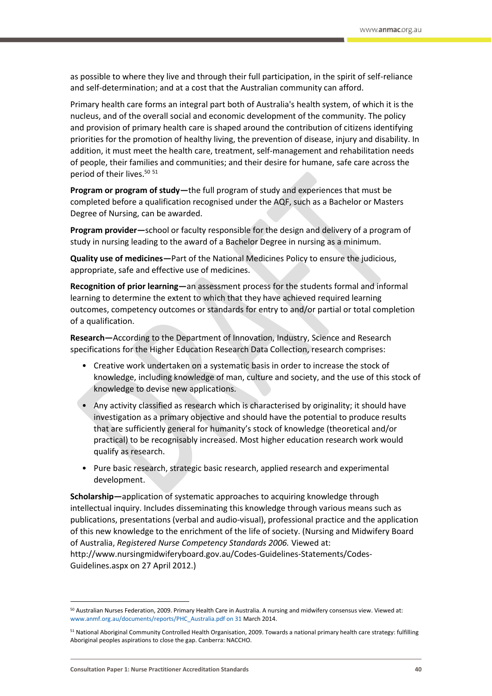as possible to where they live and through their full participation, in the spirit of self-reliance and self-determination; and at a cost that the Australian community can afford.

Primary health care forms an integral part both of Australia's health system, of which it is the nucleus, and of the overall social and economic development of the community. The policy and provision of primary health care is shaped around the contribution of citizens identifying priorities for the promotion of healthy living, the prevention of disease, injury and disability. In addition, it must meet the health care, treatment, self-management and rehabilitation needs of people, their families and communities; and their desire for humane, safe care across the period of their lives.<sup>50 51</sup>

**Program or program of study—**the full program of study and experiences that must be completed before a qualification recognised under the AQF, such as a Bachelor or Masters Degree of Nursing, can be awarded.

**Program provider—**school or faculty responsible for the design and delivery of a program of study in nursing leading to the award of a Bachelor Degree in nursing as a minimum.

**Quality use of medicines—**Part of the National Medicines Policy to ensure the judicious, appropriate, safe and effective use of medicines.

**Recognition of prior learning—**an assessment process for the students formal and informal learning to determine the extent to which that they have achieved required learning outcomes, competency outcomes or standards for entry to and/or partial or total completion of a qualification.

**Research—**According to the Department of Innovation, Industry, Science and Research specifications for the Higher Education Research Data Collection, research comprises:

- Creative work undertaken on a systematic basis in order to increase the stock of knowledge, including knowledge of man, culture and society, and the use of this stock of knowledge to devise new applications.
- Any activity classified as research which is characterised by originality; it should have investigation as a primary objective and should have the potential to produce results that are sufficiently general for humanity's stock of knowledge (theoretical and/or practical) to be recognisably increased. Most higher education research work would qualify as research.
- Pure basic research, strategic basic research, applied research and experimental development.

**Scholarship—**application of systematic approaches to acquiring knowledge through intellectual inquiry. Includes disseminating this knowledge through various means such as publications, presentations (verbal and audio-visual), professional practice and the application of this new knowledge to the enrichment of the life of society. (Nursing and Midwifery Board of Australia, *Registered Nurse Competency Standards 2006.* Viewed at: http://www.nursingmidwiferyboard.gov.au/Codes-Guidelines-Statements/Codes-Guidelines.aspx on 27 April 2012.)

 $\overline{a}$ 

<sup>50</sup> Australian Nurses Federation, 2009. Primary Health Care in Australia. A nursing and midwifery consensus view. Viewed at: www.anmf.org.au/documents/reports/PHC\_Australia.pdf on 31 March 2014.

<sup>51</sup> National Aboriginal Community Controlled Health Organisation, 2009. Towards a national primary health care strategy: fulfilling Aboriginal peoples aspirations to close the gap. Canberra: NACCHO.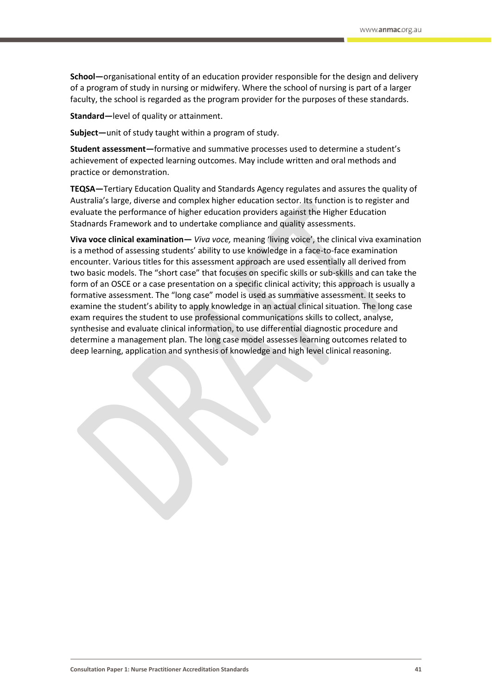**School—**organisational entity of an education provider responsible for the design and delivery of a program of study in nursing or midwifery. Where the school of nursing is part of a larger faculty, the school is regarded as the program provider for the purposes of these standards.

**Standard—**level of quality or attainment.

**Subject—**unit of study taught within a program of study.

**Student assessment—**formative and summative processes used to determine a student's achievement of expected learning outcomes. May include written and oral methods and practice or demonstration.

**TEQSA—**Tertiary Education Quality and Standards Agency regulates and assures the quality of Australia's large, diverse and complex higher education sector. Its function is to register and evaluate the performance of higher education providers against the Higher Education Stadnards Framework and to undertake compliance and quality assessments.

**Viva voce clinical examination—** *Viva voce,* meaning 'living voice', the clinical viva examination is a method of assessing students' ability to use knowledge in a face-to-face examination encounter. Various titles for this assessment approach are used essentially all derived from two basic models. The "short case" that focuses on specific skills or sub-skills and can take the form of an OSCE or a case presentation on a specific clinical activity; this approach is usually a formative assessment. The "long case" model is used as summative assessment. It seeks to examine the student's ability to apply knowledge in an actual clinical situation. The long case exam requires the student to use professional communications skills to collect, analyse, synthesise and evaluate clinical information, to use differential diagnostic procedure and determine a management plan. The long case model assesses learning outcomes related to deep learning, application and synthesis of knowledge and high level clinical reasoning.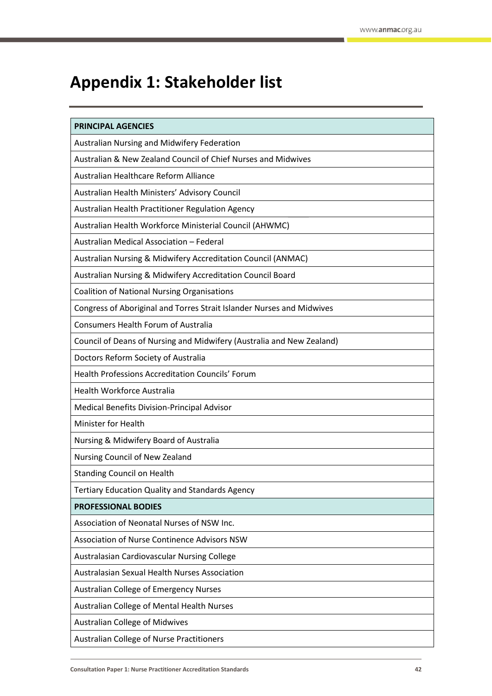# <span id="page-41-0"></span>**Appendix 1: Stakeholder list**

| <b>PRINCIPAL AGENCIES</b>                                             |
|-----------------------------------------------------------------------|
| Australian Nursing and Midwifery Federation                           |
| Australian & New Zealand Council of Chief Nurses and Midwives         |
| Australian Healthcare Reform Alliance                                 |
| Australian Health Ministers' Advisory Council                         |
| Australian Health Practitioner Regulation Agency                      |
| Australian Health Workforce Ministerial Council (AHWMC)               |
| Australian Medical Association - Federal                              |
| Australian Nursing & Midwifery Accreditation Council (ANMAC)          |
| Australian Nursing & Midwifery Accreditation Council Board            |
| <b>Coalition of National Nursing Organisations</b>                    |
| Congress of Aboriginal and Torres Strait Islander Nurses and Midwives |
| <b>Consumers Health Forum of Australia</b>                            |
| Council of Deans of Nursing and Midwifery (Australia and New Zealand) |
| Doctors Reform Society of Australia                                   |
| <b>Health Professions Accreditation Councils' Forum</b>               |
| Health Workforce Australia                                            |
| Medical Benefits Division-Principal Advisor                           |
| Minister for Health                                                   |
| Nursing & Midwifery Board of Australia                                |
| Nursing Council of New Zealand                                        |
| <b>Standing Council on Health</b>                                     |
| <b>Tertiary Education Quality and Standards Agency</b>                |
| <b>PROFESSIONAL BODIES</b>                                            |
| Association of Neonatal Nurses of NSW Inc.                            |
| Association of Nurse Continence Advisors NSW                          |
| Australasian Cardiovascular Nursing College                           |
| <b>Australasian Sexual Health Nurses Association</b>                  |
| <b>Australian College of Emergency Nurses</b>                         |
| Australian College of Mental Health Nurses                            |
| <b>Australian College of Midwives</b>                                 |
| Australian College of Nurse Practitioners                             |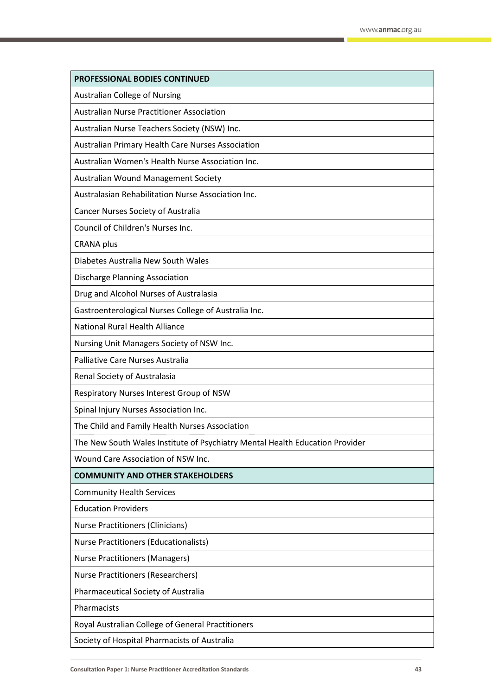| PROFESSIONAL BODIES CONTINUED                                                |
|------------------------------------------------------------------------------|
| <b>Australian College of Nursing</b>                                         |
| <b>Australian Nurse Practitioner Association</b>                             |
| Australian Nurse Teachers Society (NSW) Inc.                                 |
| <b>Australian Primary Health Care Nurses Association</b>                     |
| Australian Women's Health Nurse Association Inc.                             |
| Australian Wound Management Society                                          |
| Australasian Rehabilitation Nurse Association Inc.                           |
| Cancer Nurses Society of Australia                                           |
| Council of Children's Nurses Inc.                                            |
| <b>CRANA</b> plus                                                            |
| Diabetes Australia New South Wales                                           |
| Discharge Planning Association                                               |
| Drug and Alcohol Nurses of Australasia                                       |
| Gastroenterological Nurses College of Australia Inc.                         |
| <b>National Rural Health Alliance</b>                                        |
| Nursing Unit Managers Society of NSW Inc.                                    |
| Palliative Care Nurses Australia                                             |
| Renal Society of Australasia                                                 |
| Respiratory Nurses Interest Group of NSW                                     |
| Spinal Injury Nurses Association Inc.                                        |
| The Child and Family Health Nurses Association                               |
| The New South Wales Institute of Psychiatry Mental Health Education Provider |
| Wound Care Association of NSW Inc.                                           |
| <b>COMMUNITY AND OTHER STAKEHOLDERS</b>                                      |
| <b>Community Health Services</b>                                             |
| <b>Education Providers</b>                                                   |
| <b>Nurse Practitioners (Clinicians)</b>                                      |
| Nurse Practitioners (Educationalists)                                        |
| <b>Nurse Practitioners (Managers)</b>                                        |
| <b>Nurse Practitioners (Researchers)</b>                                     |
| Pharmaceutical Society of Australia                                          |
| Pharmacists                                                                  |
| Royal Australian College of General Practitioners                            |
| Society of Hospital Pharmacists of Australia                                 |